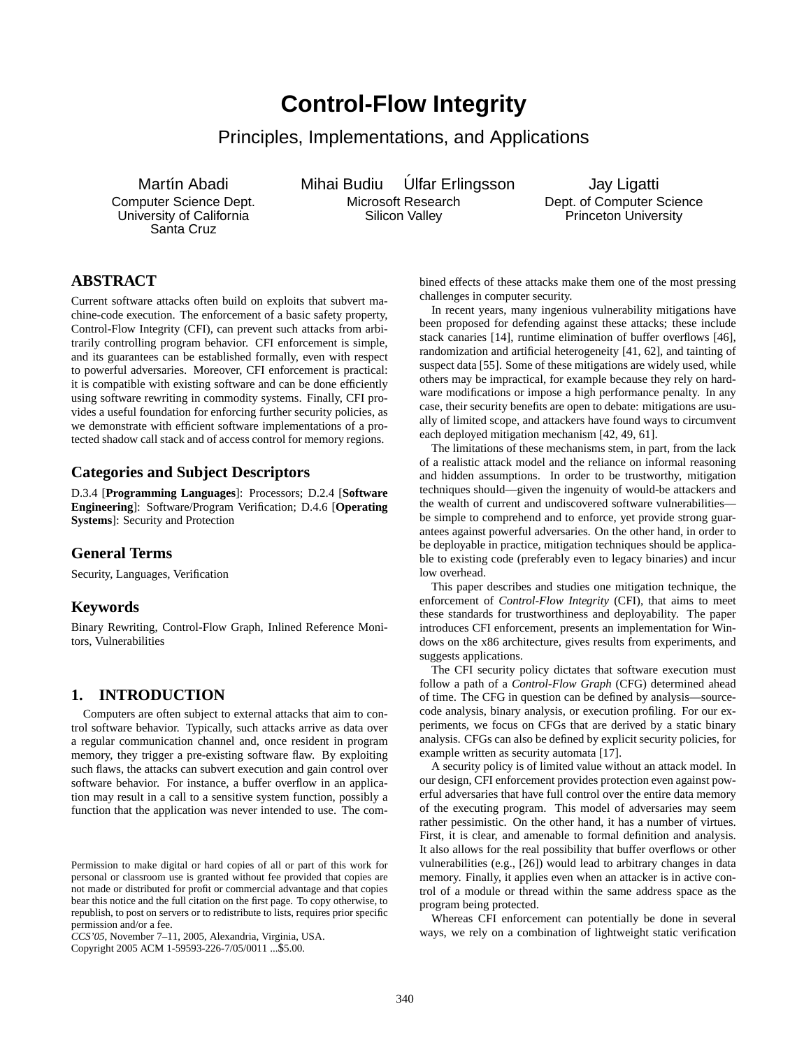# **Control-Flow Integrity**

Principles, Implementations, and Applications

Martín Abadi Computer Science Dept. University of California Santa Cruz

Mihai Budiu Ulfar Erlingsson ´ Microsoft Research Silicon Valley

Jay Ligatti Dept. of Computer Science Princeton University

## **ABSTRACT**

Current software attacks often build on exploits that subvert machine-code execution. The enforcement of a basic safety property, Control-Flow Integrity (CFI), can prevent such attacks from arbitrarily controlling program behavior. CFI enforcement is simple, and its guarantees can be established formally, even with respect to powerful adversaries. Moreover, CFI enforcement is practical: it is compatible with existing software and can be done efficiently using software rewriting in commodity systems. Finally, CFI provides a useful foundation for enforcing further security policies, as we demonstrate with efficient software implementations of a protected shadow call stack and of access control for memory regions.

# **Categories and Subject Descriptors**

D.3.4 [**Programming Languages**]: Processors; D.2.4 [**Software Engineering**]: Software/Program Verification; D.4.6 [**Operating Systems**]: Security and Protection

## **General Terms**

Security, Languages, Verification

#### **Keywords**

Binary Rewriting, Control-Flow Graph, Inlined Reference Monitors, Vulnerabilities

### **1. INTRODUCTION**

Computers are often subject to external attacks that aim to control software behavior. Typically, such attacks arrive as data over a regular communication channel and, once resident in program memory, they trigger a pre-existing software flaw. By exploiting such flaws, the attacks can subvert execution and gain control over software behavior. For instance, a buffer overflow in an application may result in a call to a sensitive system function, possibly a function that the application was never intended to use. The com-

*CCS'05,* November 7–11, 2005, Alexandria, Virginia, USA.

Copyright 2005 ACM 1-59593-226-7/05/0011 ...\$5.00.

bined effects of these attacks make them one of the most pressing challenges in computer security.

In recent years, many ingenious vulnerability mitigations have been proposed for defending against these attacks; these include stack canaries [14], runtime elimination of buffer overflows [46], randomization and artificial heterogeneity [41, 62], and tainting of suspect data [55]. Some of these mitigations are widely used, while others may be impractical, for example because they rely on hardware modifications or impose a high performance penalty. In any case, their security benefits are open to debate: mitigations are usually of limited scope, and attackers have found ways to circumvent each deployed mitigation mechanism [42, 49, 61].

The limitations of these mechanisms stem, in part, from the lack of a realistic attack model and the reliance on informal reasoning and hidden assumptions. In order to be trustworthy, mitigation techniques should—given the ingenuity of would-be attackers and the wealth of current and undiscovered software vulnerabilities be simple to comprehend and to enforce, yet provide strong guarantees against powerful adversaries. On the other hand, in order to be deployable in practice, mitigation techniques should be applicable to existing code (preferably even to legacy binaries) and incur low overhead.

This paper describes and studies one mitigation technique, the enforcement of *Control-Flow Integrity* (CFI), that aims to meet these standards for trustworthiness and deployability. The paper introduces CFI enforcement, presents an implementation for Windows on the x86 architecture, gives results from experiments, and suggests applications.

The CFI security policy dictates that software execution must follow a path of a *Control-Flow Graph* (CFG) determined ahead of time. The CFG in question can be defined by analysis—sourcecode analysis, binary analysis, or execution profiling. For our experiments, we focus on CFGs that are derived by a static binary analysis. CFGs can also be defined by explicit security policies, for example written as security automata [17].

A security policy is of limited value without an attack model. In our design, CFI enforcement provides protection even against powerful adversaries that have full control over the entire data memory of the executing program. This model of adversaries may seem rather pessimistic. On the other hand, it has a number of virtues. First, it is clear, and amenable to formal definition and analysis. It also allows for the real possibility that buffer overflows or other vulnerabilities (e.g., [26]) would lead to arbitrary changes in data memory. Finally, it applies even when an attacker is in active control of a module or thread within the same address space as the program being protected.

Whereas CFI enforcement can potentially be done in several ways, we rely on a combination of lightweight static verification

Permission to make digital or hard copies of all or part of this work for personal or classroom use is granted without fee provided that copies are not made or distributed for profit or commercial advantage and that copies bear this notice and the full citation on the first page. To copy otherwise, to republish, to post on servers or to redistribute to lists, requires prior specific permission and/or a fee.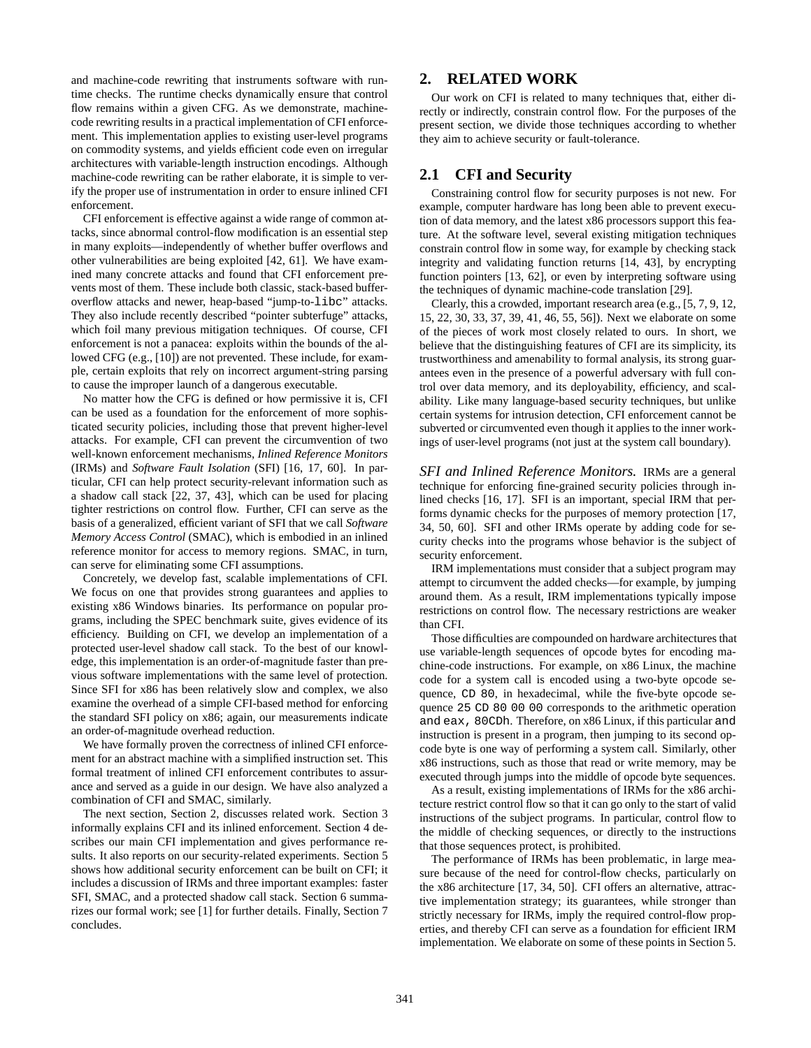and machine-code rewriting that instruments software with runtime checks. The runtime checks dynamically ensure that control flow remains within a given CFG. As we demonstrate, machinecode rewriting results in a practical implementation of CFI enforcement. This implementation applies to existing user-level programs on commodity systems, and yields efficient code even on irregular architectures with variable-length instruction encodings. Although machine-code rewriting can be rather elaborate, it is simple to verify the proper use of instrumentation in order to ensure inlined CFI enforcement.

CFI enforcement is effective against a wide range of common attacks, since abnormal control-flow modification is an essential step in many exploits—independently of whether buffer overflows and other vulnerabilities are being exploited [42, 61]. We have examined many concrete attacks and found that CFI enforcement prevents most of them. These include both classic, stack-based bufferoverflow attacks and newer, heap-based "jump-to-libc" attacks. They also include recently described "pointer subterfuge" attacks, which foil many previous mitigation techniques. Of course, CFI enforcement is not a panacea: exploits within the bounds of the allowed CFG (e.g., [10]) are not prevented. These include, for example, certain exploits that rely on incorrect argument-string parsing to cause the improper launch of a dangerous executable.

No matter how the CFG is defined or how permissive it is, CFI can be used as a foundation for the enforcement of more sophisticated security policies, including those that prevent higher-level attacks. For example, CFI can prevent the circumvention of two well-known enforcement mechanisms, *Inlined Reference Monitors* (IRMs) and *Software Fault Isolation* (SFI) [16, 17, 60]. In particular, CFI can help protect security-relevant information such as a shadow call stack [22, 37, 43], which can be used for placing tighter restrictions on control flow. Further, CFI can serve as the basis of a generalized, efficient variant of SFI that we call *Software Memory Access Control* (SMAC), which is embodied in an inlined reference monitor for access to memory regions. SMAC, in turn, can serve for eliminating some CFI assumptions.

Concretely, we develop fast, scalable implementations of CFI. We focus on one that provides strong guarantees and applies to existing x86 Windows binaries. Its performance on popular programs, including the SPEC benchmark suite, gives evidence of its efficiency. Building on CFI, we develop an implementation of a protected user-level shadow call stack. To the best of our knowledge, this implementation is an order-of-magnitude faster than previous software implementations with the same level of protection. Since SFI for x86 has been relatively slow and complex, we also examine the overhead of a simple CFI-based method for enforcing the standard SFI policy on x86; again, our measurements indicate an order-of-magnitude overhead reduction.

We have formally proven the correctness of inlined CFI enforcement for an abstract machine with a simplified instruction set. This formal treatment of inlined CFI enforcement contributes to assurance and served as a guide in our design. We have also analyzed a combination of CFI and SMAC, similarly.

The next section, Section 2, discusses related work. Section 3 informally explains CFI and its inlined enforcement. Section 4 describes our main CFI implementation and gives performance results. It also reports on our security-related experiments. Section 5 shows how additional security enforcement can be built on CFI; it includes a discussion of IRMs and three important examples: faster SFI, SMAC, and a protected shadow call stack. Section 6 summarizes our formal work; see [1] for further details. Finally, Section 7 concludes.

# **2. RELATED WORK**

Our work on CFI is related to many techniques that, either directly or indirectly, constrain control flow. For the purposes of the present section, we divide those techniques according to whether they aim to achieve security or fault-tolerance.

#### **2.1 CFI and Security**

Constraining control flow for security purposes is not new. For example, computer hardware has long been able to prevent execution of data memory, and the latest x86 processors support this feature. At the software level, several existing mitigation techniques constrain control flow in some way, for example by checking stack integrity and validating function returns [14, 43], by encrypting function pointers [13, 62], or even by interpreting software using the techniques of dynamic machine-code translation [29].

Clearly, this a crowded, important research area (e.g., [5, 7, 9, 12, 15, 22, 30, 33, 37, 39, 41, 46, 55, 56]). Next we elaborate on some of the pieces of work most closely related to ours. In short, we believe that the distinguishing features of CFI are its simplicity, its trustworthiness and amenability to formal analysis, its strong guarantees even in the presence of a powerful adversary with full control over data memory, and its deployability, efficiency, and scalability. Like many language-based security techniques, but unlike certain systems for intrusion detection, CFI enforcement cannot be subverted or circumvented even though it applies to the inner workings of user-level programs (not just at the system call boundary).

*SFI and Inlined Reference Monitors.* IRMs are a general technique for enforcing fine-grained security policies through inlined checks [16, 17]. SFI is an important, special IRM that performs dynamic checks for the purposes of memory protection [17, 34, 50, 60]. SFI and other IRMs operate by adding code for security checks into the programs whose behavior is the subject of security enforcement.

IRM implementations must consider that a subject program may attempt to circumvent the added checks—for example, by jumping around them. As a result, IRM implementations typically impose restrictions on control flow. The necessary restrictions are weaker than CFI.

Those difficulties are compounded on hardware architectures that use variable-length sequences of opcode bytes for encoding machine-code instructions. For example, on x86 Linux, the machine code for a system call is encoded using a two-byte opcode sequence, CD 80, in hexadecimal, while the five-byte opcode sequence 25 CD 80 00 00 corresponds to the arithmetic operation and eax, 80CDh. Therefore, on x86 Linux, if this particular and instruction is present in a program, then jumping to its second opcode byte is one way of performing a system call. Similarly, other x86 instructions, such as those that read or write memory, may be executed through jumps into the middle of opcode byte sequences.

As a result, existing implementations of IRMs for the x86 architecture restrict control flow so that it can go only to the start of valid instructions of the subject programs. In particular, control flow to the middle of checking sequences, or directly to the instructions that those sequences protect, is prohibited.

The performance of IRMs has been problematic, in large measure because of the need for control-flow checks, particularly on the x86 architecture [17, 34, 50]. CFI offers an alternative, attractive implementation strategy; its guarantees, while stronger than strictly necessary for IRMs, imply the required control-flow properties, and thereby CFI can serve as a foundation for efficient IRM implementation. We elaborate on some of these points in Section 5.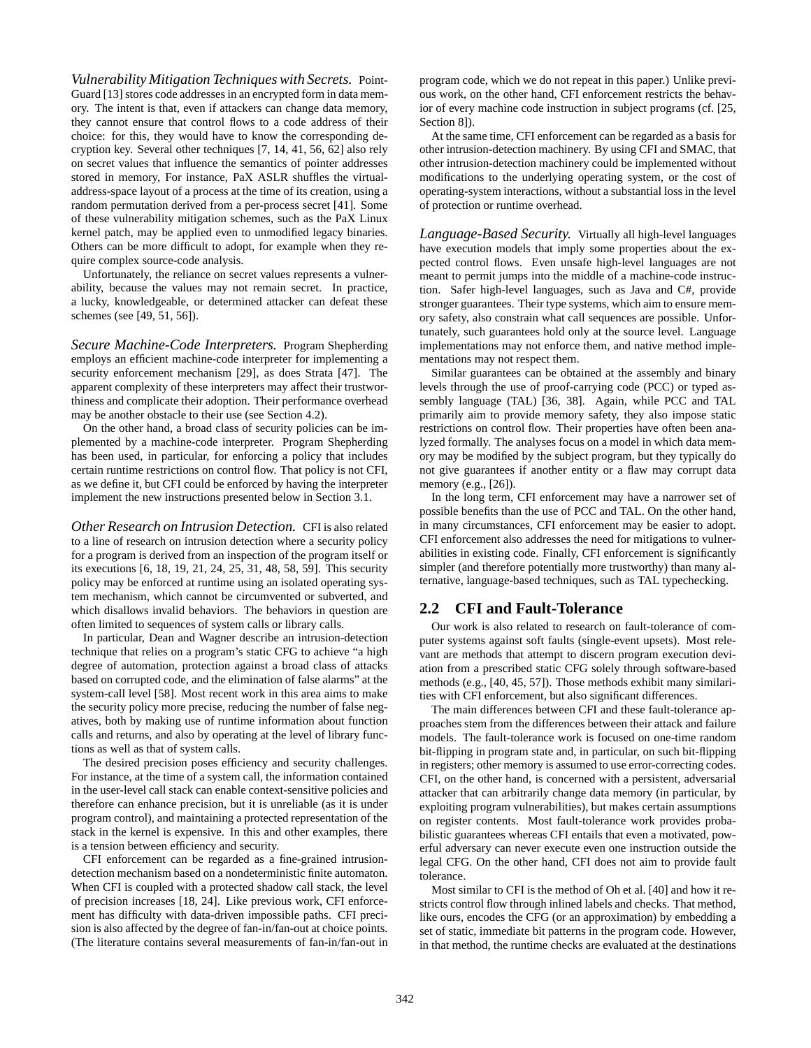*Vulnerability Mitigation Techniques with Secrets.* Point-Guard [13] stores code addresses in an encrypted form in data memory. The intent is that, even if attackers can change data memory, they cannot ensure that control flows to a code address of their choice: for this, they would have to know the corresponding decryption key. Several other techniques [7, 14, 41, 56, 62] also rely on secret values that influence the semantics of pointer addresses stored in memory, For instance, PaX ASLR shuffles the virtualaddress-space layout of a process at the time of its creation, using a random permutation derived from a per-process secret [41]. Some of these vulnerability mitigation schemes, such as the PaX Linux kernel patch, may be applied even to unmodified legacy binaries. Others can be more difficult to adopt, for example when they require complex source-code analysis.

Unfortunately, the reliance on secret values represents a vulnerability, because the values may not remain secret. In practice, a lucky, knowledgeable, or determined attacker can defeat these schemes (see [49, 51, 56]).

*Secure Machine-Code Interpreters.* Program Shepherding employs an efficient machine-code interpreter for implementing a security enforcement mechanism [29], as does Strata [47]. The apparent complexity of these interpreters may affect their trustworthiness and complicate their adoption. Their performance overhead may be another obstacle to their use (see Section 4.2).

On the other hand, a broad class of security policies can be implemented by a machine-code interpreter. Program Shepherding has been used, in particular, for enforcing a policy that includes certain runtime restrictions on control flow. That policy is not CFI, as we define it, but CFI could be enforced by having the interpreter implement the new instructions presented below in Section 3.1.

*Other Research on Intrusion Detection.* CFI is also related to a line of research on intrusion detection where a security policy for a program is derived from an inspection of the program itself or its executions [6, 18, 19, 21, 24, 25, 31, 48, 58, 59]. This security policy may be enforced at runtime using an isolated operating system mechanism, which cannot be circumvented or subverted, and which disallows invalid behaviors. The behaviors in question are often limited to sequences of system calls or library calls.

In particular, Dean and Wagner describe an intrusion-detection technique that relies on a program's static CFG to achieve "a high degree of automation, protection against a broad class of attacks based on corrupted code, and the elimination of false alarms" at the system-call level [58]. Most recent work in this area aims to make the security policy more precise, reducing the number of false negatives, both by making use of runtime information about function calls and returns, and also by operating at the level of library functions as well as that of system calls.

The desired precision poses efficiency and security challenges. For instance, at the time of a system call, the information contained in the user-level call stack can enable context-sensitive policies and therefore can enhance precision, but it is unreliable (as it is under program control), and maintaining a protected representation of the stack in the kernel is expensive. In this and other examples, there is a tension between efficiency and security.

CFI enforcement can be regarded as a fine-grained intrusiondetection mechanism based on a nondeterministic finite automaton. When CFI is coupled with a protected shadow call stack, the level of precision increases [18, 24]. Like previous work, CFI enforcement has difficulty with data-driven impossible paths. CFI precision is also affected by the degree of fan-in/fan-out at choice points. (The literature contains several measurements of fan-in/fan-out in program code, which we do not repeat in this paper.) Unlike previous work, on the other hand, CFI enforcement restricts the behavior of every machine code instruction in subject programs (cf. [25, Section 8]).

At the same time, CFI enforcement can be regarded as a basis for other intrusion-detection machinery. By using CFI and SMAC, that other intrusion-detection machinery could be implemented without modifications to the underlying operating system, or the cost of operating-system interactions, without a substantial loss in the level of protection or runtime overhead.

*Language-Based Security.* Virtually all high-level languages have execution models that imply some properties about the expected control flows. Even unsafe high-level languages are not meant to permit jumps into the middle of a machine-code instruction. Safer high-level languages, such as Java and C#, provide stronger guarantees. Their type systems, which aim to ensure memory safety, also constrain what call sequences are possible. Unfortunately, such guarantees hold only at the source level. Language implementations may not enforce them, and native method implementations may not respect them.

Similar guarantees can be obtained at the assembly and binary levels through the use of proof-carrying code (PCC) or typed assembly language (TAL) [36, 38]. Again, while PCC and TAL primarily aim to provide memory safety, they also impose static restrictions on control flow. Their properties have often been analyzed formally. The analyses focus on a model in which data memory may be modified by the subject program, but they typically do not give guarantees if another entity or a flaw may corrupt data memory (e.g., [26]).

In the long term, CFI enforcement may have a narrower set of possible benefits than the use of PCC and TAL. On the other hand, in many circumstances, CFI enforcement may be easier to adopt. CFI enforcement also addresses the need for mitigations to vulnerabilities in existing code. Finally, CFI enforcement is significantly simpler (and therefore potentially more trustworthy) than many alternative, language-based techniques, such as TAL typechecking.

# **2.2 CFI and Fault-Tolerance**

Our work is also related to research on fault-tolerance of computer systems against soft faults (single-event upsets). Most relevant are methods that attempt to discern program execution deviation from a prescribed static CFG solely through software-based methods (e.g., [40, 45, 57]). Those methods exhibit many similarities with CFI enforcement, but also significant differences.

The main differences between CFI and these fault-tolerance approaches stem from the differences between their attack and failure models. The fault-tolerance work is focused on one-time random bit-flipping in program state and, in particular, on such bit-flipping in registers; other memory is assumed to use error-correcting codes. CFI, on the other hand, is concerned with a persistent, adversarial attacker that can arbitrarily change data memory (in particular, by exploiting program vulnerabilities), but makes certain assumptions on register contents. Most fault-tolerance work provides probabilistic guarantees whereas CFI entails that even a motivated, powerful adversary can never execute even one instruction outside the legal CFG. On the other hand, CFI does not aim to provide fault tolerance.

Most similar to CFI is the method of Oh et al. [40] and how it restricts control flow through inlined labels and checks. That method, like ours, encodes the CFG (or an approximation) by embedding a set of static, immediate bit patterns in the program code. However, in that method, the runtime checks are evaluated at the destinations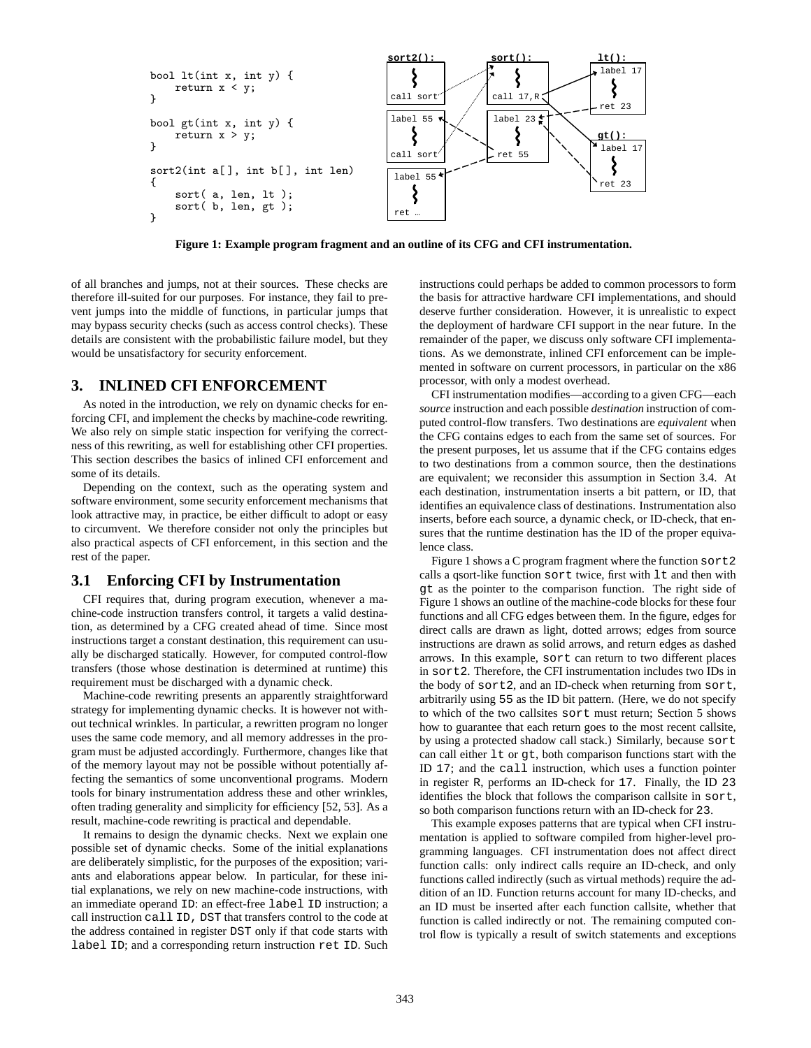

**Figure 1: Example program fragment and an outline of its CFG and CFI instrumentation.**

of all branches and jumps, not at their sources. These checks are therefore ill-suited for our purposes. For instance, they fail to prevent jumps into the middle of functions, in particular jumps that may bypass security checks (such as access control checks). These details are consistent with the probabilistic failure model, but they would be unsatisfactory for security enforcement.

#### **3. INLINED CFI ENFORCEMENT**

As noted in the introduction, we rely on dynamic checks for enforcing CFI, and implement the checks by machine-code rewriting. We also rely on simple static inspection for verifying the correctness of this rewriting, as well for establishing other CFI properties. This section describes the basics of inlined CFI enforcement and some of its details.

Depending on the context, such as the operating system and software environment, some security enforcement mechanisms that look attractive may, in practice, be either difficult to adopt or easy to circumvent. We therefore consider not only the principles but also practical aspects of CFI enforcement, in this section and the rest of the paper.

#### **3.1 Enforcing CFI by Instrumentation**

CFI requires that, during program execution, whenever a machine-code instruction transfers control, it targets a valid destination, as determined by a CFG created ahead of time. Since most instructions target a constant destination, this requirement can usually be discharged statically. However, for computed control-flow transfers (those whose destination is determined at runtime) this requirement must be discharged with a dynamic check.

Machine-code rewriting presents an apparently straightforward strategy for implementing dynamic checks. It is however not without technical wrinkles. In particular, a rewritten program no longer uses the same code memory, and all memory addresses in the program must be adjusted accordingly. Furthermore, changes like that of the memory layout may not be possible without potentially affecting the semantics of some unconventional programs. Modern tools for binary instrumentation address these and other wrinkles, often trading generality and simplicity for efficiency [52, 53]. As a result, machine-code rewriting is practical and dependable.

It remains to design the dynamic checks. Next we explain one possible set of dynamic checks. Some of the initial explanations are deliberately simplistic, for the purposes of the exposition; variants and elaborations appear below. In particular, for these initial explanations, we rely on new machine-code instructions, with an immediate operand ID: an effect-free label ID instruction; a call instruction call ID, DST that transfers control to the code at the address contained in register DST only if that code starts with label ID; and a corresponding return instruction ret ID. Such

instructions could perhaps be added to common processors to form the basis for attractive hardware CFI implementations, and should deserve further consideration. However, it is unrealistic to expect the deployment of hardware CFI support in the near future. In the remainder of the paper, we discuss only software CFI implementations. As we demonstrate, inlined CFI enforcement can be implemented in software on current processors, in particular on the x86 processor, with only a modest overhead.

CFI instrumentation modifies—according to a given CFG—each *source* instruction and each possible *destination* instruction of computed control-flow transfers. Two destinations are *equivalent* when the CFG contains edges to each from the same set of sources. For the present purposes, let us assume that if the CFG contains edges to two destinations from a common source, then the destinations are equivalent; we reconsider this assumption in Section 3.4. At each destination, instrumentation inserts a bit pattern, or ID, that identifies an equivalence class of destinations. Instrumentation also inserts, before each source, a dynamic check, or ID-check, that ensures that the runtime destination has the ID of the proper equivalence class.

Figure 1 shows a C program fragment where the function sort2 calls a qsort-like function sort twice, first with lt and then with gt as the pointer to the comparison function. The right side of Figure 1 shows an outline of the machine-code blocks for these four functions and all CFG edges between them. In the figure, edges for direct calls are drawn as light, dotted arrows; edges from source instructions are drawn as solid arrows, and return edges as dashed arrows. In this example, sort can return to two different places in sort2. Therefore, the CFI instrumentation includes two IDs in the body of sort2, and an ID-check when returning from sort, arbitrarily using 55 as the ID bit pattern. (Here, we do not specify to which of the two callsites sort must return; Section 5 shows how to guarantee that each return goes to the most recent callsite, by using a protected shadow call stack.) Similarly, because sort can call either lt or gt, both comparison functions start with the ID 17; and the call instruction, which uses a function pointer in register R, performs an ID-check for 17. Finally, the ID 23 identifies the block that follows the comparison callsite in sort, so both comparison functions return with an ID-check for 23.

This example exposes patterns that are typical when CFI instrumentation is applied to software compiled from higher-level programming languages. CFI instrumentation does not affect direct function calls: only indirect calls require an ID-check, and only functions called indirectly (such as virtual methods) require the addition of an ID. Function returns account for many ID-checks, and an ID must be inserted after each function callsite, whether that function is called indirectly or not. The remaining computed control flow is typically a result of switch statements and exceptions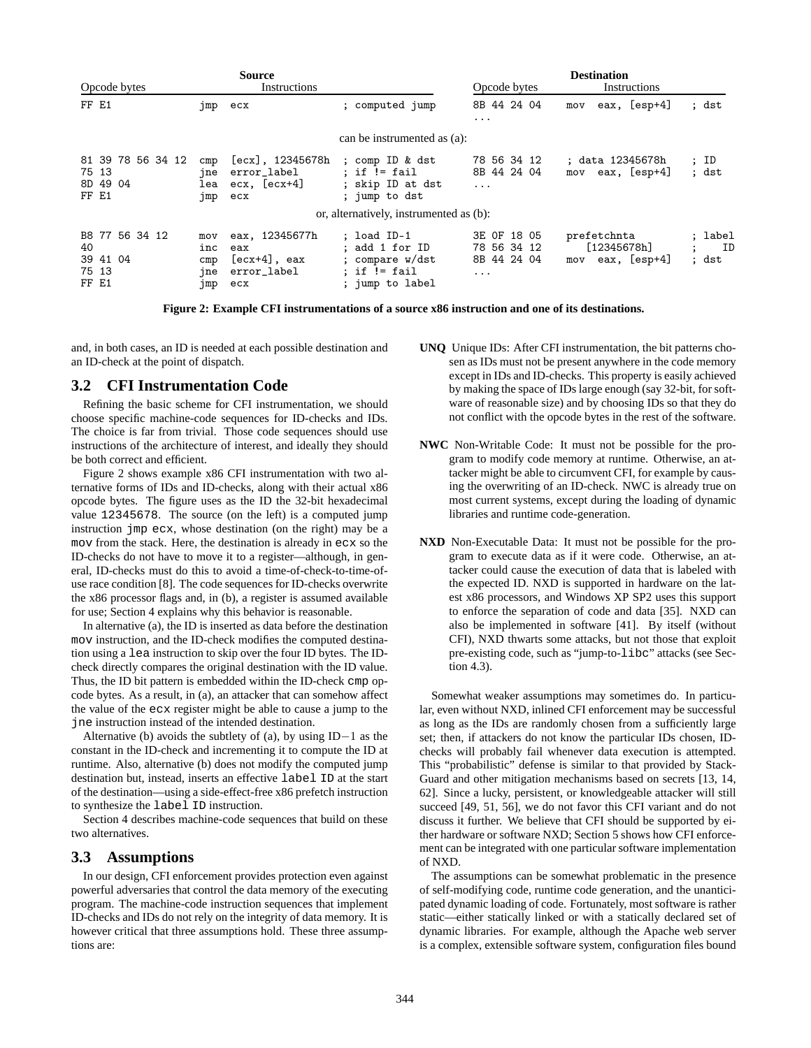|    | Opcode bytes                                    |                                 | Source<br>Instructions                                         |                                                                                     | Opcode bytes                                          | <b>Destination</b><br>Instructions                |                        |
|----|-------------------------------------------------|---------------------------------|----------------------------------------------------------------|-------------------------------------------------------------------------------------|-------------------------------------------------------|---------------------------------------------------|------------------------|
|    | FF E1                                           | jmp                             | ecx                                                            | ; computed jump                                                                     | 8B 44 24 04<br>.                                      | eax, [esp+4]<br>mov                               | ; dst                  |
|    |                                                 |                                 |                                                                | can be instrumented as (a):                                                         |                                                       |                                                   |                        |
|    | 81 39 78 56 34 12<br>75 13<br>8D 49 04<br>FF E1 | cmp<br>jne<br>lea<br>jmp        | [ecx], 12345678h<br>error_label<br>$exc, [ecx+4]$<br>есх       | ; comp ID & dst<br>$:$ if != fail<br>; skip ID at dst<br>; jump to dst              | 78 56 34 12<br>8B 44 24 04<br>$\cdot$                 | ; data 12345678h<br>eax, [esp+4]<br>mov           | ; ID<br>; dst          |
|    |                                                 |                                 |                                                                | or, alternatively, instrumented as (b):                                             |                                                       |                                                   |                        |
| 40 | B8 77 56 34 12<br>39 41 04<br>75 13<br>FF E1    | mov<br>inc<br>cmp<br>jne<br>ם ה | eax, 12345677h<br>eax<br>$[ecx+4]$ , eax<br>error_label<br>ecx | : load ID-1<br>add 1 for ID<br>; compare w/dst<br>; if $!=$ fail<br>; jump to label | 3E OF 18 05<br>78 56 34 12<br>8B 44 24 04<br>$\cdots$ | prefetchnta<br>[12345678h]<br>eax, [esp+4]<br>mov | : label<br>ID<br>; dst |

**Figure 2: Example CFI instrumentations of a source x86 instruction and one of its destinations.**

and, in both cases, an ID is needed at each possible destination and an ID-check at the point of dispatch.

## **3.2 CFI Instrumentation Code**

Refining the basic scheme for CFI instrumentation, we should choose specific machine-code sequences for ID-checks and IDs. The choice is far from trivial. Those code sequences should use instructions of the architecture of interest, and ideally they should be both correct and efficient.

Figure 2 shows example x86 CFI instrumentation with two alternative forms of IDs and ID-checks, along with their actual x86 opcode bytes. The figure uses as the ID the 32-bit hexadecimal value 12345678. The source (on the left) is a computed jump instruction jmp ecx, whose destination (on the right) may be a mov from the stack. Here, the destination is already in ecx so the ID-checks do not have to move it to a register—although, in general, ID-checks must do this to avoid a time-of-check-to-time-ofuse race condition [8]. The code sequences for ID-checks overwrite the x86 processor flags and, in (b), a register is assumed available for use; Section 4 explains why this behavior is reasonable.

In alternative (a), the ID is inserted as data before the destination mov instruction, and the ID-check modifies the computed destination using a lea instruction to skip over the four ID bytes. The IDcheck directly compares the original destination with the ID value. Thus, the ID bit pattern is embedded within the ID-check cmp opcode bytes. As a result, in (a), an attacker that can somehow affect the value of the ecx register might be able to cause a jump to the jne instruction instead of the intended destination.

Alternative (b) avoids the subtlety of (a), by using ID−1 as the constant in the ID-check and incrementing it to compute the ID at runtime. Also, alternative (b) does not modify the computed jump destination but, instead, inserts an effective label ID at the start of the destination—using a side-effect-free x86 prefetch instruction to synthesize the label ID instruction.

Section 4 describes machine-code sequences that build on these two alternatives.

#### **3.3 Assumptions**

In our design, CFI enforcement provides protection even against powerful adversaries that control the data memory of the executing program. The machine-code instruction sequences that implement ID-checks and IDs do not rely on the integrity of data memory. It is however critical that three assumptions hold. These three assumptions are:

- **UNQ** Unique IDs: After CFI instrumentation, the bit patterns chosen as IDs must not be present anywhere in the code memory except in IDs and ID-checks. This property is easily achieved by making the space of IDs large enough (say 32-bit, for software of reasonable size) and by choosing IDs so that they do not conflict with the opcode bytes in the rest of the software.
- **NWC** Non-Writable Code: It must not be possible for the program to modify code memory at runtime. Otherwise, an attacker might be able to circumvent CFI, for example by causing the overwriting of an ID-check. NWC is already true on most current systems, except during the loading of dynamic libraries and runtime code-generation.
- **NXD** Non-Executable Data: It must not be possible for the program to execute data as if it were code. Otherwise, an attacker could cause the execution of data that is labeled with the expected ID. NXD is supported in hardware on the latest x86 processors, and Windows XP SP2 uses this support to enforce the separation of code and data [35]. NXD can also be implemented in software [41]. By itself (without CFI), NXD thwarts some attacks, but not those that exploit pre-existing code, such as "jump-to-libc" attacks (see Section 4.3).

Somewhat weaker assumptions may sometimes do. In particular, even without NXD, inlined CFI enforcement may be successful as long as the IDs are randomly chosen from a sufficiently large set; then, if attackers do not know the particular IDs chosen, IDchecks will probably fail whenever data execution is attempted. This "probabilistic" defense is similar to that provided by Stack-Guard and other mitigation mechanisms based on secrets [13, 14, 62]. Since a lucky, persistent, or knowledgeable attacker will still succeed [49, 51, 56], we do not favor this CFI variant and do not discuss it further. We believe that CFI should be supported by either hardware or software NXD; Section 5 shows how CFI enforcement can be integrated with one particular software implementation of NXD.

The assumptions can be somewhat problematic in the presence of self-modifying code, runtime code generation, and the unanticipated dynamic loading of code. Fortunately, most software is rather static—either statically linked or with a statically declared set of dynamic libraries. For example, although the Apache web server is a complex, extensible software system, configuration files bound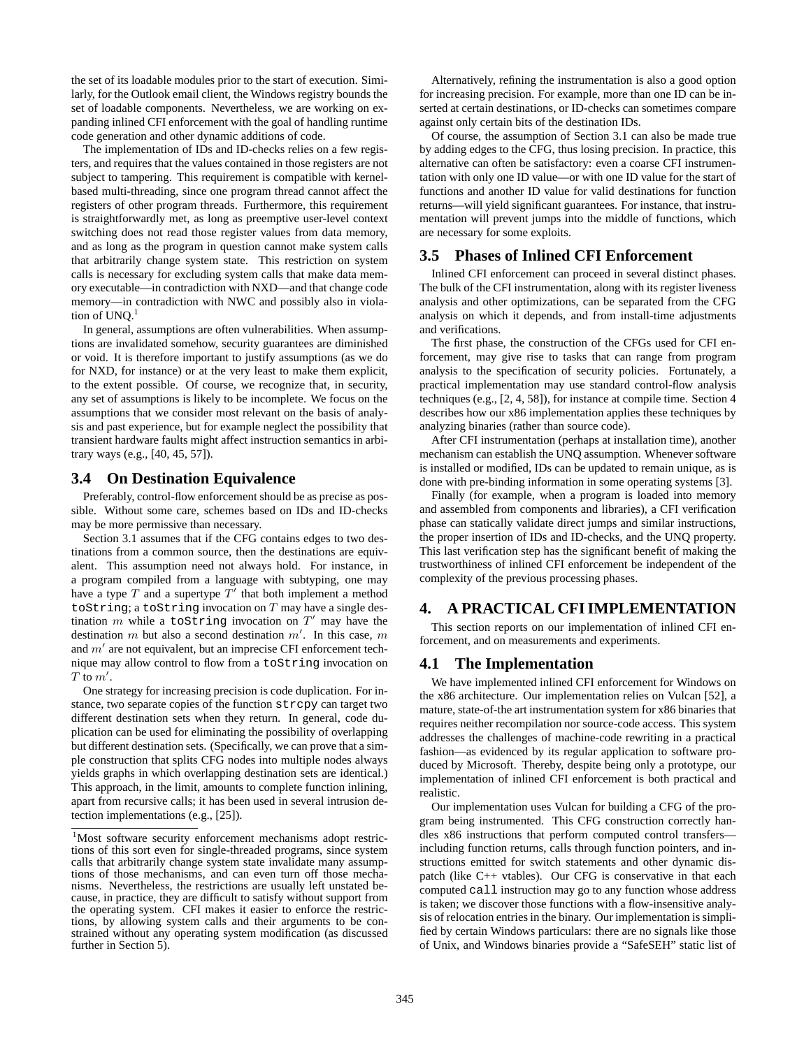the set of its loadable modules prior to the start of execution. Similarly, for the Outlook email client, the Windows registry bounds the set of loadable components. Nevertheless, we are working on expanding inlined CFI enforcement with the goal of handling runtime code generation and other dynamic additions of code.

The implementation of IDs and ID-checks relies on a few registers, and requires that the values contained in those registers are not subject to tampering. This requirement is compatible with kernelbased multi-threading, since one program thread cannot affect the registers of other program threads. Furthermore, this requirement is straightforwardly met, as long as preemptive user-level context switching does not read those register values from data memory, and as long as the program in question cannot make system calls that arbitrarily change system state. This restriction on system calls is necessary for excluding system calls that make data memory executable—in contradiction with NXD—and that change code memory—in contradiction with NWC and possibly also in violation of  $UNO<sup>1</sup>$ 

In general, assumptions are often vulnerabilities. When assumptions are invalidated somehow, security guarantees are diminished or void. It is therefore important to justify assumptions (as we do for NXD, for instance) or at the very least to make them explicit, to the extent possible. Of course, we recognize that, in security, any set of assumptions is likely to be incomplete. We focus on the assumptions that we consider most relevant on the basis of analysis and past experience, but for example neglect the possibility that transient hardware faults might affect instruction semantics in arbitrary ways (e.g., [40, 45, 57]).

#### **3.4 On Destination Equivalence**

Preferably, control-flow enforcement should be as precise as possible. Without some care, schemes based on IDs and ID-checks may be more permissive than necessary.

Section 3.1 assumes that if the CFG contains edges to two destinations from a common source, then the destinations are equivalent. This assumption need not always hold. For instance, in a program compiled from a language with subtyping, one may have a type  $T$  and a supertype  $T'$  that both implement a method toString; a toString invocation on  $T$  may have a single destination  $m$  while a toString invocation on  $T'$  may have the destination m but also a second destination  $m'$ . In this case, m and  $m'$  are not equivalent, but an imprecise CFI enforcement technique may allow control to flow from a toString invocation on  $T$  to  $m'$ .

One strategy for increasing precision is code duplication. For instance, two separate copies of the function strcpy can target two different destination sets when they return. In general, code duplication can be used for eliminating the possibility of overlapping but different destination sets. (Specifically, we can prove that a simple construction that splits CFG nodes into multiple nodes always yields graphs in which overlapping destination sets are identical.) This approach, in the limit, amounts to complete function inlining, apart from recursive calls; it has been used in several intrusion detection implementations (e.g., [25]).

Alternatively, refining the instrumentation is also a good option for increasing precision. For example, more than one ID can be inserted at certain destinations, or ID-checks can sometimes compare against only certain bits of the destination IDs.

Of course, the assumption of Section 3.1 can also be made true by adding edges to the CFG, thus losing precision. In practice, this alternative can often be satisfactory: even a coarse CFI instrumentation with only one ID value—or with one ID value for the start of functions and another ID value for valid destinations for function returns—will yield significant guarantees. For instance, that instrumentation will prevent jumps into the middle of functions, which are necessary for some exploits.

#### **3.5 Phases of Inlined CFI Enforcement**

Inlined CFI enforcement can proceed in several distinct phases. The bulk of the CFI instrumentation, along with its register liveness analysis and other optimizations, can be separated from the CFG analysis on which it depends, and from install-time adjustments and verifications.

The first phase, the construction of the CFGs used for CFI enforcement, may give rise to tasks that can range from program analysis to the specification of security policies. Fortunately, a practical implementation may use standard control-flow analysis techniques (e.g., [2, 4, 58]), for instance at compile time. Section 4 describes how our x86 implementation applies these techniques by analyzing binaries (rather than source code).

After CFI instrumentation (perhaps at installation time), another mechanism can establish the UNQ assumption. Whenever software is installed or modified, IDs can be updated to remain unique, as is done with pre-binding information in some operating systems [3].

Finally (for example, when a program is loaded into memory and assembled from components and libraries), a CFI verification phase can statically validate direct jumps and similar instructions, the proper insertion of IDs and ID-checks, and the UNQ property. This last verification step has the significant benefit of making the trustworthiness of inlined CFI enforcement be independent of the complexity of the previous processing phases.

# **4. A PRACTICAL CFI IMPLEMENTATION**

This section reports on our implementation of inlined CFI enforcement, and on measurements and experiments.

## **4.1 The Implementation**

We have implemented inlined CFI enforcement for Windows on the x86 architecture. Our implementation relies on Vulcan [52], a mature, state-of-the art instrumentation system for x86 binaries that requires neither recompilation nor source-code access. This system addresses the challenges of machine-code rewriting in a practical fashion—as evidenced by its regular application to software produced by Microsoft. Thereby, despite being only a prototype, our implementation of inlined CFI enforcement is both practical and realistic.

Our implementation uses Vulcan for building a CFG of the program being instrumented. This CFG construction correctly handles x86 instructions that perform computed control transfers including function returns, calls through function pointers, and instructions emitted for switch statements and other dynamic dispatch (like C++ vtables). Our CFG is conservative in that each computed call instruction may go to any function whose address is taken; we discover those functions with a flow-insensitive analysis of relocation entries in the binary. Our implementation is simplified by certain Windows particulars: there are no signals like those of Unix, and Windows binaries provide a "SafeSEH" static list of

<sup>&</sup>lt;sup>1</sup>Most software security enforcement mechanisms adopt restrictions of this sort even for single-threaded programs, since system calls that arbitrarily change system state invalidate many assumptions of those mechanisms, and can even turn off those mechanisms. Nevertheless, the restrictions are usually left unstated because, in practice, they are difficult to satisfy without support from the operating system. CFI makes it easier to enforce the restrictions, by allowing system calls and their arguments to be constrained without any operating system modification (as discussed further in Section 5).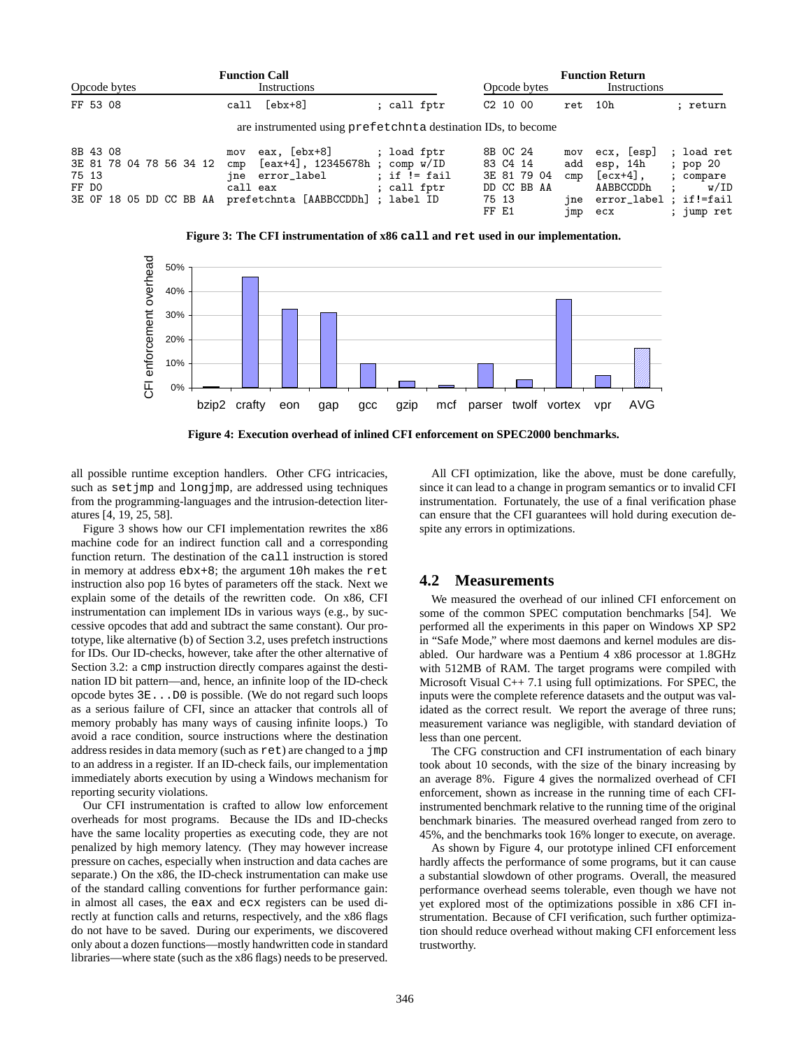| Opcode bytes               |  |  |                         |                         |                                    | <b>Function Call</b><br>Instructions                                                                    |                                              |  |                            | Opcode bytes                           |         | <b>Function Return</b><br>Instructions                                                                                    |                                                           |
|----------------------------|--|--|-------------------------|-------------------------|------------------------------------|---------------------------------------------------------------------------------------------------------|----------------------------------------------|--|----------------------------|----------------------------------------|---------|---------------------------------------------------------------------------------------------------------------------------|-----------------------------------------------------------|
| FF 53 08                   |  |  |                         |                         | call                               | $[ebx+8]$                                                                                               | ; call fptr                                  |  | C <sub>2</sub> 10 00       |                                        | ret 10h |                                                                                                                           | ; return                                                  |
|                            |  |  |                         |                         |                                    | are instrumented using prefetchnta destination IDs, to become                                           |                                              |  |                            |                                        |         |                                                                                                                           |                                                           |
| 8B 43 08<br>75 13<br>FF DO |  |  | 3E 81 78 04 78 56 34 12 | 3E OF 18 O5 DD CC BB AA | mov<br>$_{\text{cmp}}$<br>call eax | eax, [ebx+8]<br>[eax+4], 12345678h ; comp w/ID<br>jne error_label<br>prefetchnta [AABBCCDDh] ; label ID | : load fptr<br>; if $!=$ fail<br>; call fptr |  | 8B OC 24<br>75 13<br>FF E1 | 83 C4 14<br>3E 81 79 04<br>DD CC BB AA | mov     | ecx, [esp]<br>add esp, 14h<br>$cmp$ $[ecx+4]$ ,<br>AABBCCDDh<br>ine error_label ; if!=fail<br>$\mathop{\mathtt{imp}}$ ecx | : load ret<br>; pop 20<br>; compare<br>w/ID<br>; jump ret |

**Figure 3: The CFI instrumentation of x86 call and ret used in our implementation.**



**Figure 4: Execution overhead of inlined CFI enforcement on SPEC2000 benchmarks.**

all possible runtime exception handlers. Other CFG intricacies, such as setjmp and longjmp, are addressed using techniques from the programming-languages and the intrusion-detection literatures [4, 19, 25, 58].

Figure 3 shows how our CFI implementation rewrites the x86 machine code for an indirect function call and a corresponding function return. The destination of the call instruction is stored in memory at address ebx+8; the argument 10h makes the ret instruction also pop 16 bytes of parameters off the stack. Next we explain some of the details of the rewritten code. On x86, CFI instrumentation can implement IDs in various ways (e.g., by successive opcodes that add and subtract the same constant). Our prototype, like alternative (b) of Section 3.2, uses prefetch instructions for IDs. Our ID-checks, however, take after the other alternative of Section 3.2: a cmp instruction directly compares against the destination ID bit pattern—and, hence, an infinite loop of the ID-check opcode bytes 3E...D0 is possible. (We do not regard such loops as a serious failure of CFI, since an attacker that controls all of memory probably has many ways of causing infinite loops.) To avoid a race condition, source instructions where the destination address resides in data memory (such as ret) are changed to a jmp to an address in a register. If an ID-check fails, our implementation immediately aborts execution by using a Windows mechanism for reporting security violations.

Our CFI instrumentation is crafted to allow low enforcement overheads for most programs. Because the IDs and ID-checks have the same locality properties as executing code, they are not penalized by high memory latency. (They may however increase pressure on caches, especially when instruction and data caches are separate.) On the x86, the ID-check instrumentation can make use of the standard calling conventions for further performance gain: in almost all cases, the eax and ecx registers can be used directly at function calls and returns, respectively, and the x86 flags do not have to be saved. During our experiments, we discovered only about a dozen functions—mostly handwritten code in standard libraries—where state (such as the x86 flags) needs to be preserved.

All CFI optimization, like the above, must be done carefully, since it can lead to a change in program semantics or to invalid CFI instrumentation. Fortunately, the use of a final verification phase can ensure that the CFI guarantees will hold during execution despite any errors in optimizations.

#### **4.2 Measurements**

We measured the overhead of our inlined CFI enforcement on some of the common SPEC computation benchmarks [54]. We performed all the experiments in this paper on Windows XP SP2 in "Safe Mode," where most daemons and kernel modules are disabled. Our hardware was a Pentium 4 x86 processor at 1.8GHz with 512MB of RAM. The target programs were compiled with Microsoft Visual C++ 7.1 using full optimizations. For SPEC, the inputs were the complete reference datasets and the output was validated as the correct result. We report the average of three runs; measurement variance was negligible, with standard deviation of less than one percent.

The CFG construction and CFI instrumentation of each binary took about 10 seconds, with the size of the binary increasing by an average 8%. Figure 4 gives the normalized overhead of CFI enforcement, shown as increase in the running time of each CFIinstrumented benchmark relative to the running time of the original benchmark binaries. The measured overhead ranged from zero to 45%, and the benchmarks took 16% longer to execute, on average.

As shown by Figure 4, our prototype inlined CFI enforcement hardly affects the performance of some programs, but it can cause a substantial slowdown of other programs. Overall, the measured performance overhead seems tolerable, even though we have not yet explored most of the optimizations possible in x86 CFI instrumentation. Because of CFI verification, such further optimization should reduce overhead without making CFI enforcement less trustworthy.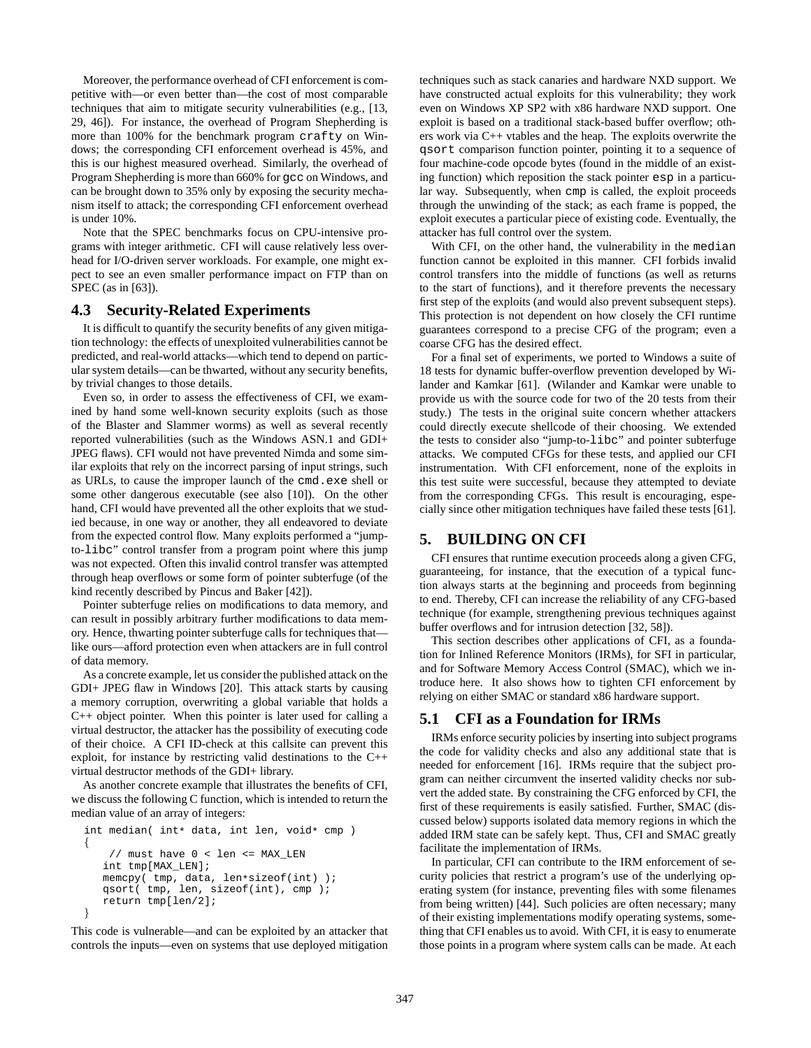Moreover, the performance overhead of CFI enforcement is competitive with—or even better than—the cost of most comparable techniques that aim to mitigate security vulnerabilities (e.g., [13, 29, 46]). For instance, the overhead of Program Shepherding is more than 100% for the benchmark program crafty on Windows; the corresponding CFI enforcement overhead is 45%, and this is our highest measured overhead. Similarly, the overhead of Program Shepherding is more than 660% for gcc on Windows, and can be brought down to 35% only by exposing the security mechanism itself to attack; the corresponding CFI enforcement overhead is under 10%.

Note that the SPEC benchmarks focus on CPU-intensive programs with integer arithmetic. CFI will cause relatively less overhead for I/O-driven server workloads. For example, one might expect to see an even smaller performance impact on FTP than on SPEC (as in [63]).

#### **4.3 Security-Related Experiments**

It is difficult to quantify the security benefits of any given mitigation technology: the effects of unexploited vulnerabilities cannot be predicted, and real-world attacks—which tend to depend on particular system details—can be thwarted, without any security benefits, by trivial changes to those details.

Even so, in order to assess the effectiveness of CFI, we examined by hand some well-known security exploits (such as those of the Blaster and Slammer worms) as well as several recently reported vulnerabilities (such as the Windows ASN.1 and GDI+ JPEG flaws). CFI would not have prevented Nimda and some similar exploits that rely on the incorrect parsing of input strings, such as URLs, to cause the improper launch of the cmd.exe shell or some other dangerous executable (see also [10]). On the other hand, CFI would have prevented all the other exploits that we studied because, in one way or another, they all endeavored to deviate from the expected control flow. Many exploits performed a "jumpto-libc" control transfer from a program point where this jump was not expected. Often this invalid control transfer was attempted through heap overflows or some form of pointer subterfuge (of the kind recently described by Pincus and Baker [42]).

Pointer subterfuge relies on modifications to data memory, and can result in possibly arbitrary further modifications to data memory. Hence, thwarting pointer subterfuge calls for techniques that like ours—afford protection even when attackers are in full control of data memory.

As a concrete example, let us consider the published attack on the GDI+ JPEG flaw in Windows [20]. This attack starts by causing a memory corruption, overwriting a global variable that holds a C++ object pointer. When this pointer is later used for calling a virtual destructor, the attacker has the possibility of executing code of their choice. A CFI ID-check at this callsite can prevent this exploit, for instance by restricting valid destinations to the C++ virtual destructor methods of the GDI+ library.

As another concrete example that illustrates the benefits of CFI, we discuss the following C function, which is intended to return the median value of an array of integers:

```
int median( int* data, int len, void* cmp )
{
    // must have 0 < len <= MAX_LEN
   int tmp[MAX_LEN];
  memcpy( tmp, data, len*sizeof(int) );
   qsort( tmp, len, sizeof(int), cmp );
   return tmp[len/2];
}
```
This code is vulnerable—and can be exploited by an attacker that controls the inputs—even on systems that use deployed mitigation techniques such as stack canaries and hardware NXD support. We have constructed actual exploits for this vulnerability; they work even on Windows XP SP2 with x86 hardware NXD support. One exploit is based on a traditional stack-based buffer overflow; others work via C++ vtables and the heap. The exploits overwrite the qsort comparison function pointer, pointing it to a sequence of four machine-code opcode bytes (found in the middle of an existing function) which reposition the stack pointer esp in a particular way. Subsequently, when cmp is called, the exploit proceeds through the unwinding of the stack; as each frame is popped, the exploit executes a particular piece of existing code. Eventually, the attacker has full control over the system.

With CFI, on the other hand, the vulnerability in the median function cannot be exploited in this manner. CFI forbids invalid control transfers into the middle of functions (as well as returns to the start of functions), and it therefore prevents the necessary first step of the exploits (and would also prevent subsequent steps). This protection is not dependent on how closely the CFI runtime guarantees correspond to a precise CFG of the program; even a coarse CFG has the desired effect.

For a final set of experiments, we ported to Windows a suite of 18 tests for dynamic buffer-overflow prevention developed by Wilander and Kamkar [61]. (Wilander and Kamkar were unable to provide us with the source code for two of the 20 tests from their study.) The tests in the original suite concern whether attackers could directly execute shellcode of their choosing. We extended the tests to consider also "jump-to-libc" and pointer subterfuge attacks. We computed CFGs for these tests, and applied our CFI instrumentation. With CFI enforcement, none of the exploits in this test suite were successful, because they attempted to deviate from the corresponding CFGs. This result is encouraging, especially since other mitigation techniques have failed these tests [61].

## **5. BUILDING ON CFI**

CFI ensures that runtime execution proceeds along a given CFG, guaranteeing, for instance, that the execution of a typical function always starts at the beginning and proceeds from beginning to end. Thereby, CFI can increase the reliability of any CFG-based technique (for example, strengthening previous techniques against buffer overflows and for intrusion detection [32, 58]).

This section describes other applications of CFI, as a foundation for Inlined Reference Monitors (IRMs), for SFI in particular, and for Software Memory Access Control (SMAC), which we introduce here. It also shows how to tighten CFI enforcement by relying on either SMAC or standard x86 hardware support.

## **5.1 CFI as a Foundation for IRMs**

IRMs enforce security policies by inserting into subject programs the code for validity checks and also any additional state that is needed for enforcement [16]. IRMs require that the subject program can neither circumvent the inserted validity checks nor subvert the added state. By constraining the CFG enforced by CFI, the first of these requirements is easily satisfied. Further, SMAC (discussed below) supports isolated data memory regions in which the added IRM state can be safely kept. Thus, CFI and SMAC greatly facilitate the implementation of IRMs.

In particular, CFI can contribute to the IRM enforcement of security policies that restrict a program's use of the underlying operating system (for instance, preventing files with some filenames from being written) [44]. Such policies are often necessary; many of their existing implementations modify operating systems, something that CFI enables us to avoid. With CFI, it is easy to enumerate those points in a program where system calls can be made. At each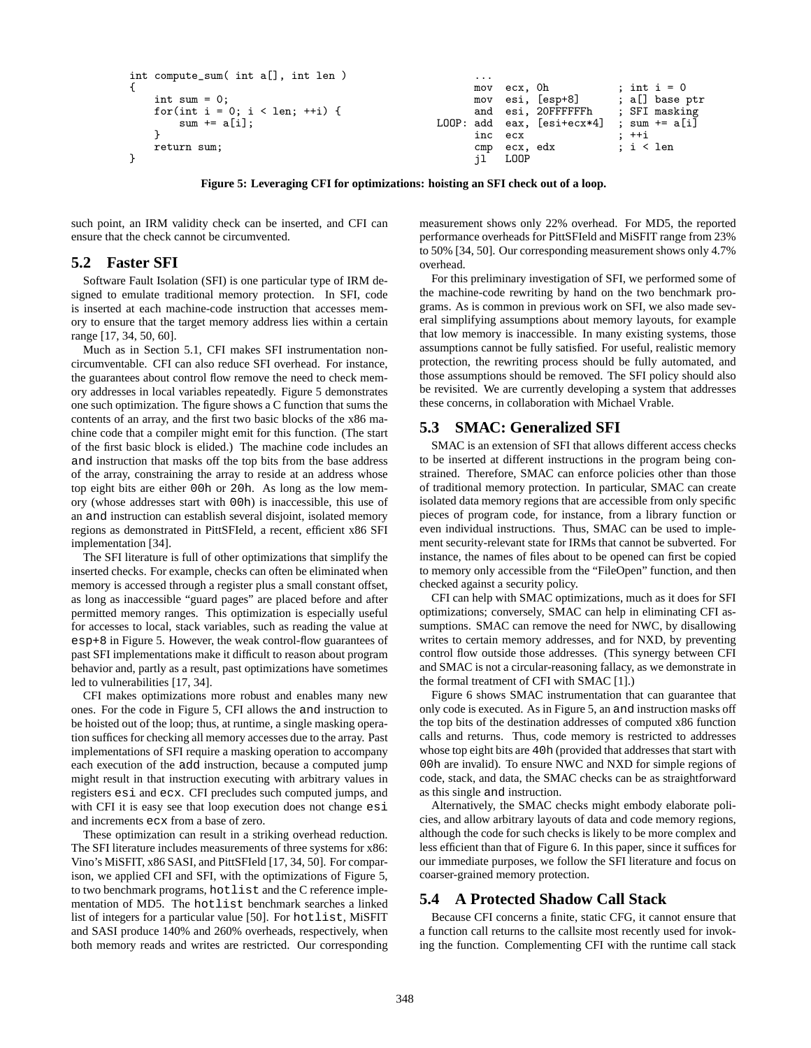```
int compute_sum( int a[], int len )
{
     int sum = 0;
     for(int i = 0; i < len; ++i) {
          sum += a[i];
     }
     return sum;
}
                                                                             ...
                                                                             mov ecx, 0h ; int i = 0<br>mov esi, [esp+8] ; a[] base ptr
                                                                             mov esi, [esp+8]<br>and esi, 20FFFFFFh
                                                                    and esi, 20FFFFFFh ; SFI masking<br>LOOP: add eax, [esi+ecx*4] ; sum += a[i]
                                                                             add eax, [esi+ecx*4]<br>inc ecx
                                                                             inc ecx ; ^{++i}<br>cmp ecx, edx ; i <
                                                                             cmp ecx, edx ; i < len<br>jl LOOP
                                                                                    L<sub>O</sub>OP
```
**Figure 5: Leveraging CFI for optimizations: hoisting an SFI check out of a loop.**

such point, an IRM validity check can be inserted, and CFI can ensure that the check cannot be circumvented.

#### **5.2 Faster SFI**

Software Fault Isolation (SFI) is one particular type of IRM designed to emulate traditional memory protection. In SFI, code is inserted at each machine-code instruction that accesses memory to ensure that the target memory address lies within a certain range [17, 34, 50, 60].

Much as in Section 5.1, CFI makes SFI instrumentation noncircumventable. CFI can also reduce SFI overhead. For instance, the guarantees about control flow remove the need to check memory addresses in local variables repeatedly. Figure 5 demonstrates one such optimization. The figure shows a C function that sums the contents of an array, and the first two basic blocks of the x86 machine code that a compiler might emit for this function. (The start of the first basic block is elided.) The machine code includes an and instruction that masks off the top bits from the base address of the array, constraining the array to reside at an address whose top eight bits are either 00h or 20h. As long as the low memory (whose addresses start with 00h) is inaccessible, this use of an and instruction can establish several disjoint, isolated memory regions as demonstrated in PittSFIeld, a recent, efficient x86 SFI implementation [34].

The SFI literature is full of other optimizations that simplify the inserted checks. For example, checks can often be eliminated when memory is accessed through a register plus a small constant offset, as long as inaccessible "guard pages" are placed before and after permitted memory ranges. This optimization is especially useful for accesses to local, stack variables, such as reading the value at esp+8 in Figure 5. However, the weak control-flow guarantees of past SFI implementations make it difficult to reason about program behavior and, partly as a result, past optimizations have sometimes led to vulnerabilities [17, 34].

CFI makes optimizations more robust and enables many new ones. For the code in Figure 5, CFI allows the and instruction to be hoisted out of the loop; thus, at runtime, a single masking operation suffices for checking all memory accesses due to the array. Past implementations of SFI require a masking operation to accompany each execution of the add instruction, because a computed jump might result in that instruction executing with arbitrary values in registers esi and ecx. CFI precludes such computed jumps, and with CFI it is easy see that loop execution does not change esi and increments ecx from a base of zero.

These optimization can result in a striking overhead reduction. The SFI literature includes measurements of three systems for x86: Vino's MiSFIT, x86 SASI, and PittSFIeld [17, 34, 50]. For comparison, we applied CFI and SFI, with the optimizations of Figure 5, to two benchmark programs, hotlist and the C reference implementation of MD5. The hotlist benchmark searches a linked list of integers for a particular value [50]. For hotlist, MiSFIT and SASI produce 140% and 260% overheads, respectively, when both memory reads and writes are restricted. Our corresponding measurement shows only 22% overhead. For MD5, the reported performance overheads for PittSFIeld and MiSFIT range from 23% to 50% [34, 50]. Our corresponding measurement shows only 4.7% overhead.

For this preliminary investigation of SFI, we performed some of the machine-code rewriting by hand on the two benchmark programs. As is common in previous work on SFI, we also made several simplifying assumptions about memory layouts, for example that low memory is inaccessible. In many existing systems, those assumptions cannot be fully satisfied. For useful, realistic memory protection, the rewriting process should be fully automated, and those assumptions should be removed. The SFI policy should also be revisited. We are currently developing a system that addresses these concerns, in collaboration with Michael Vrable.

# **5.3 SMAC: Generalized SFI**

SMAC is an extension of SFI that allows different access checks to be inserted at different instructions in the program being constrained. Therefore, SMAC can enforce policies other than those of traditional memory protection. In particular, SMAC can create isolated data memory regions that are accessible from only specific pieces of program code, for instance, from a library function or even individual instructions. Thus, SMAC can be used to implement security-relevant state for IRMs that cannot be subverted. For instance, the names of files about to be opened can first be copied to memory only accessible from the "FileOpen" function, and then checked against a security policy.

CFI can help with SMAC optimizations, much as it does for SFI optimizations; conversely, SMAC can help in eliminating CFI assumptions. SMAC can remove the need for NWC, by disallowing writes to certain memory addresses, and for NXD, by preventing control flow outside those addresses. (This synergy between CFI and SMAC is not a circular-reasoning fallacy, as we demonstrate in the formal treatment of CFI with SMAC [1].)

Figure 6 shows SMAC instrumentation that can guarantee that only code is executed. As in Figure 5, an and instruction masks off the top bits of the destination addresses of computed x86 function calls and returns. Thus, code memory is restricted to addresses whose top eight bits are 40h (provided that addresses that start with 00h are invalid). To ensure NWC and NXD for simple regions of code, stack, and data, the SMAC checks can be as straightforward as this single and instruction.

Alternatively, the SMAC checks might embody elaborate policies, and allow arbitrary layouts of data and code memory regions, although the code for such checks is likely to be more complex and less efficient than that of Figure 6. In this paper, since it suffices for our immediate purposes, we follow the SFI literature and focus on coarser-grained memory protection.

# **5.4 A Protected Shadow Call Stack**

Because CFI concerns a finite, static CFG, it cannot ensure that a function call returns to the callsite most recently used for invoking the function. Complementing CFI with the runtime call stack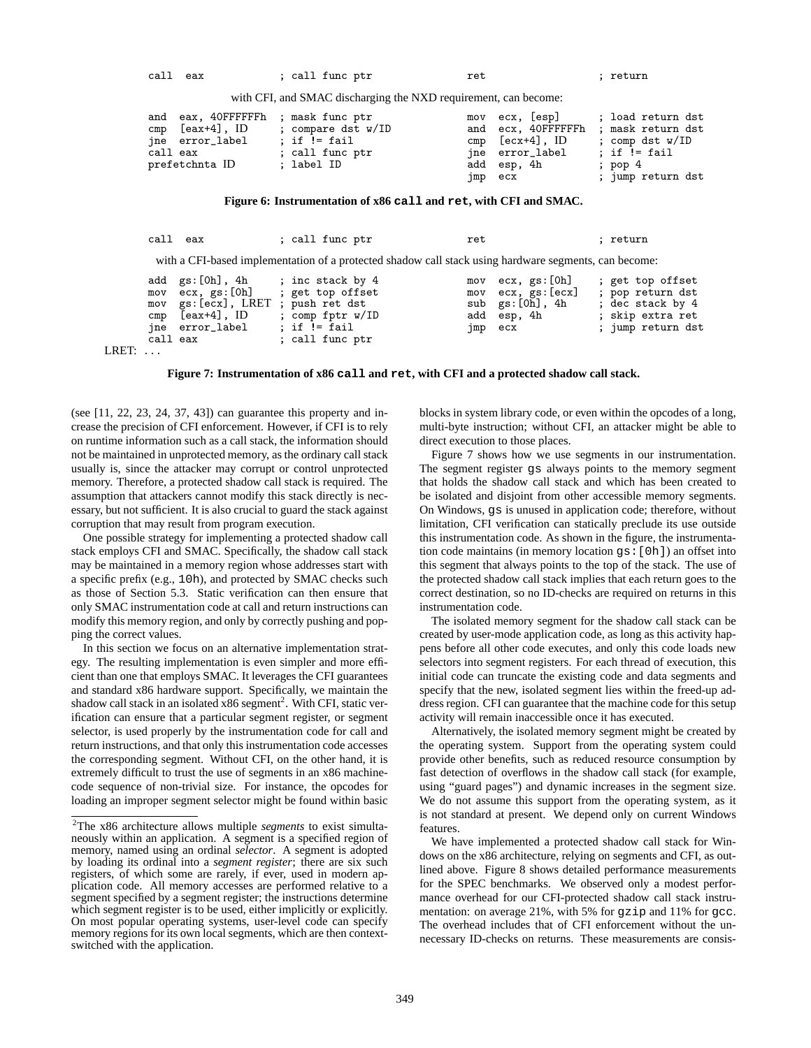|                                                                   | call eax                                                                                              |                                                                                                                                                                                            | ; call func ptr                                                                                                                | ret                      |                                                                                                 |  | ; return                                                                                                        |  |  |  |
|-------------------------------------------------------------------|-------------------------------------------------------------------------------------------------------|--------------------------------------------------------------------------------------------------------------------------------------------------------------------------------------------|--------------------------------------------------------------------------------------------------------------------------------|--------------------------|-------------------------------------------------------------------------------------------------|--|-----------------------------------------------------------------------------------------------------------------|--|--|--|
|                                                                   | with CFI, and SMAC discharging the NXD requirement, can become:                                       |                                                                                                                                                                                            |                                                                                                                                |                          |                                                                                                 |  |                                                                                                                 |  |  |  |
|                                                                   | and<br>cmp                                                                                            | eax, 40FFFFFFh<br>$[$ eax+4 $]$ , ID<br>jne error_label<br>call eax call the call of the call of the call of the call of the call of the call of the call of the call of<br>prefetchnta ID | ; mask func ptr<br>; compare dst w/ID<br>; if $!=$ fail<br>; call func ptr<br>; label ID                                       | mov<br>and<br>jmp        | ecx, [esp]<br>ecx, 40FFFFFFh<br>$cmp$ $[ecx+4]$ , $ID$<br>jne error_label<br>add esp, 4h<br>ecx |  | ; load return dst<br>; mask return dst<br>; comp dst $w/ID$<br>; if $!=$ fail<br>; pop $4$<br>; jump return dst |  |  |  |
| Figure 6: Instrumentation of x86 call and ret, with CFI and SMAC. |                                                                                                       |                                                                                                                                                                                            |                                                                                                                                |                          |                                                                                                 |  |                                                                                                                 |  |  |  |
|                                                                   | call eax                                                                                              |                                                                                                                                                                                            | ; call func ptr                                                                                                                | ret                      |                                                                                                 |  | ; return                                                                                                        |  |  |  |
|                                                                   | with a CFI-based implementation of a protected shadow call stack using hardware segments, can become: |                                                                                                                                                                                            |                                                                                                                                |                          |                                                                                                 |  |                                                                                                                 |  |  |  |
| LRET:                                                             | mov<br>mov<br>cmp<br>call eax<br>$\cdots$                                                             | add gs:[Oh], 4h<br>ecx, gs:[Oh]<br>$[$ eax+4 $]$ , ID<br>jne error_label                                                                                                                   | ; inc stack by 4<br>; get top offset<br>gs:[ecx], LRET ; push ret dst<br>; comp fptr w/ID<br>; if $!=$ fail<br>; call func ptr | mov<br>mov<br>add<br>jmp | ecx, gs:[Oh]<br>ecx, gs:[ecx]<br>$sub$ $gs:[0h]$ , $4h$<br>esp, 4h<br>ecx                       |  | ; get top offset<br>; pop return dst<br>; dec stack by 4<br>; skip extra ret<br>; jump return dst               |  |  |  |

**Figure 7: Instrumentation of x86 call and ret, with CFI and a protected shadow call stack.**

(see [11, 22, 23, 24, 37, 43]) can guarantee this property and increase the precision of CFI enforcement. However, if CFI is to rely on runtime information such as a call stack, the information should not be maintained in unprotected memory, as the ordinary call stack usually is, since the attacker may corrupt or control unprotected memory. Therefore, a protected shadow call stack is required. The assumption that attackers cannot modify this stack directly is necessary, but not sufficient. It is also crucial to guard the stack against corruption that may result from program execution.

One possible strategy for implementing a protected shadow call stack employs CFI and SMAC. Specifically, the shadow call stack may be maintained in a memory region whose addresses start with a specific prefix (e.g., 10h), and protected by SMAC checks such as those of Section 5.3. Static verification can then ensure that only SMAC instrumentation code at call and return instructions can modify this memory region, and only by correctly pushing and popping the correct values.

In this section we focus on an alternative implementation strategy. The resulting implementation is even simpler and more efficient than one that employs SMAC. It leverages the CFI guarantees and standard x86 hardware support. Specifically, we maintain the shadow call stack in an isolated  $x86$  segment<sup>2</sup>. With CFI, static verification can ensure that a particular segment register, or segment selector, is used properly by the instrumentation code for call and return instructions, and that only this instrumentation code accesses the corresponding segment. Without CFI, on the other hand, it is extremely difficult to trust the use of segments in an x86 machinecode sequence of non-trivial size. For instance, the opcodes for loading an improper segment selector might be found within basic blocks in system library code, or even within the opcodes of a long, multi-byte instruction; without CFI, an attacker might be able to direct execution to those places.

Figure 7 shows how we use segments in our instrumentation. The segment register gs always points to the memory segment that holds the shadow call stack and which has been created to be isolated and disjoint from other accessible memory segments. On Windows, gs is unused in application code; therefore, without limitation, CFI verification can statically preclude its use outside this instrumentation code. As shown in the figure, the instrumentation code maintains (in memory location gs:[0h]) an offset into this segment that always points to the top of the stack. The use of the protected shadow call stack implies that each return goes to the correct destination, so no ID-checks are required on returns in this instrumentation code.

The isolated memory segment for the shadow call stack can be created by user-mode application code, as long as this activity happens before all other code executes, and only this code loads new selectors into segment registers. For each thread of execution, this initial code can truncate the existing code and data segments and specify that the new, isolated segment lies within the freed-up address region. CFI can guarantee that the machine code for this setup activity will remain inaccessible once it has executed.

Alternatively, the isolated memory segment might be created by the operating system. Support from the operating system could provide other benefits, such as reduced resource consumption by fast detection of overflows in the shadow call stack (for example, using "guard pages") and dynamic increases in the segment size. We do not assume this support from the operating system, as it is not standard at present. We depend only on current Windows features.

We have implemented a protected shadow call stack for Windows on the x86 architecture, relying on segments and CFI, as outlined above. Figure 8 shows detailed performance measurements for the SPEC benchmarks. We observed only a modest performance overhead for our CFI-protected shadow call stack instrumentation: on average 21%, with 5% for gzip and 11% for gcc. The overhead includes that of CFI enforcement without the unnecessary ID-checks on returns. These measurements are consis-

<sup>2</sup>The x86 architecture allows multiple *segments* to exist simultaneously within an application. A segment is a specified region of memory, named using an ordinal *selector*. A segment is adopted by loading its ordinal into a *segment register*; there are six such registers, of which some are rarely, if ever, used in modern application code. All memory accesses are performed relative to a segment specified by a segment register; the instructions determine which segment register is to be used, either implicitly or explicitly. On most popular operating systems, user-level code can specify memory regions for its own local segments, which are then contextswitched with the application.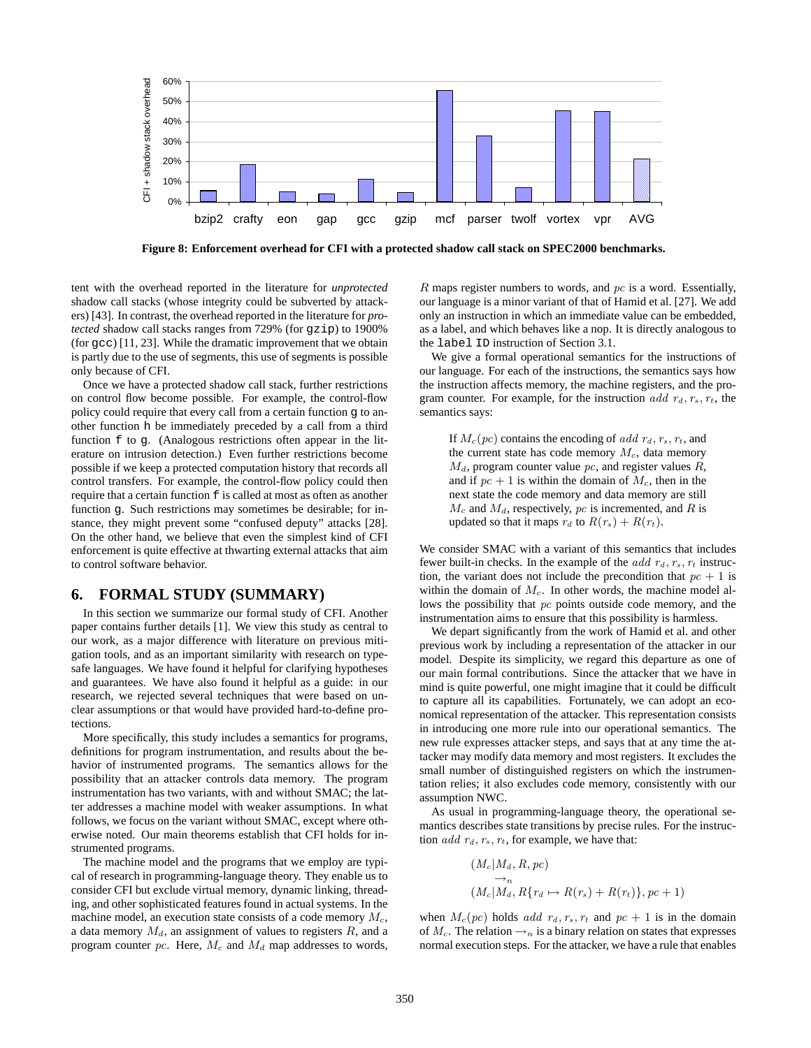

**Figure 8: Enforcement overhead for CFI with a protected shadow call stack on SPEC2000 benchmarks.**

tent with the overhead reported in the literature for *unprotected* shadow call stacks (whose integrity could be subverted by attackers) [43]. In contrast, the overhead reported in the literature for *protected* shadow call stacks ranges from 729% (for gzip) to 1900% (for gcc) [11, 23]. While the dramatic improvement that we obtain is partly due to the use of segments, this use of segments is possible only because of CFI.

Once we have a protected shadow call stack, further restrictions on control flow become possible. For example, the control-flow policy could require that every call from a certain function  $\sigma$  to another function h be immediately preceded by a call from a third function f to g. (Analogous restrictions often appear in the literature on intrusion detection.) Even further restrictions become possible if we keep a protected computation history that records all control transfers. For example, the control-flow policy could then require that a certain function f is called at most as often as another function g. Such restrictions may sometimes be desirable; for instance, they might prevent some "confused deputy" attacks [28]. On the other hand, we believe that even the simplest kind of CFI enforcement is quite effective at thwarting external attacks that aim to control software behavior.

#### **6. FORMAL STUDY (SUMMARY)**

In this section we summarize our formal study of CFI. Another paper contains further details [1]. We view this study as central to our work, as a major difference with literature on previous mitigation tools, and as an important similarity with research on typesafe languages. We have found it helpful for clarifying hypotheses and guarantees. We have also found it helpful as a guide: in our research, we rejected several techniques that were based on unclear assumptions or that would have provided hard-to-define protections.

More specifically, this study includes a semantics for programs, definitions for program instrumentation, and results about the behavior of instrumented programs. The semantics allows for the possibility that an attacker controls data memory. The program instrumentation has two variants, with and without SMAC; the latter addresses a machine model with weaker assumptions. In what follows, we focus on the variant without SMAC, except where otherwise noted. Our main theorems establish that CFI holds for instrumented programs.

The machine model and the programs that we employ are typical of research in programming-language theory. They enable us to consider CFI but exclude virtual memory, dynamic linking, threading, and other sophisticated features found in actual systems. In the machine model, an execution state consists of a code memory  $M_c$ , a data memory  $M_d$ , an assignment of values to registers  $R$ , and a program counter  $pc$ . Here,  $M_c$  and  $M_d$  map addresses to words,

 $R$  maps register numbers to words, and  $pc$  is a word. Essentially, our language is a minor variant of that of Hamid et al. [27]. We add only an instruction in which an immediate value can be embedded, as a label, and which behaves like a nop. It is directly analogous to the label ID instruction of Section 3.1.

We give a formal operational semantics for the instructions of our language. For each of the instructions, the semantics says how the instruction affects memory, the machine registers, and the program counter. For example, for the instruction add  $r_d, r_s, r_t$ , the semantics says:

If  $M_c(pc)$  contains the encoding of add  $r_d, r_s, r_t$ , and the current state has code memory  $M_c$ , data memory  $M_d$ , program counter value pc, and register values R, and if  $pc + 1$  is within the domain of  $M_c$ , then in the next state the code memory and data memory are still  $M_c$  and  $M_d$ , respectively, pc is incremented, and R is updated so that it maps  $r_d$  to  $R(r_s) + R(r_t)$ .

We consider SMAC with a variant of this semantics that includes fewer built-in checks. In the example of the *add*  $r<sub>d</sub>$ ,  $r<sub>s</sub>$ ,  $r<sub>t</sub>$  instruction, the variant does not include the precondition that  $pc + 1$  is within the domain of  $M_c$ . In other words, the machine model allows the possibility that pc points outside code memory, and the instrumentation aims to ensure that this possibility is harmless.

We depart significantly from the work of Hamid et al. and other previous work by including a representation of the attacker in our model. Despite its simplicity, we regard this departure as one of our main formal contributions. Since the attacker that we have in mind is quite powerful, one might imagine that it could be difficult to capture all its capabilities. Fortunately, we can adopt an economical representation of the attacker. This representation consists in introducing one more rule into our operational semantics. The new rule expresses attacker steps, and says that at any time the attacker may modify data memory and most registers. It excludes the small number of distinguished registers on which the instrumentation relies; it also excludes code memory, consistently with our assumption NWC.

As usual in programming-language theory, the operational semantics describes state transitions by precise rules. For the instruction *add*  $r_d$ ,  $r_s$ ,  $r_t$ , for example, we have that:

$$
(M_c|M_d, R, pc)
$$
  
\n
$$
\rightarrow_n
$$
  
\n
$$
(M_c|M_d, R\{r_d \mapsto R(r_s) + R(r_t)\}, pc + 1)
$$

when  $M_c(pc)$  holds add  $r_d, r_s, r_t$  and  $pc + 1$  is in the domain of  $M_c$ . The relation  $\rightarrow$ <sub>n</sub> is a binary relation on states that expresses normal execution steps. For the attacker, we have a rule that enables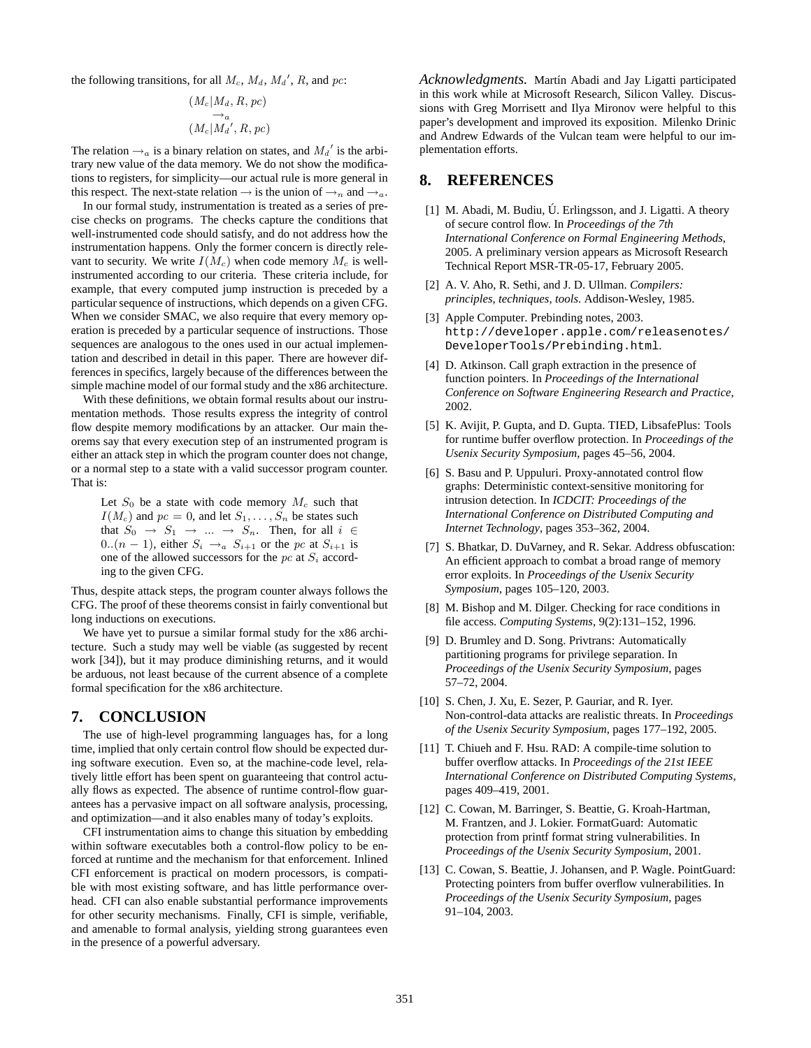the following transitions, for all  $M_c$ ,  $M_d$ ,  $M_d'$ , R, and pc:

$$
(M_c|M_d, R, pc)
$$
  
\n
$$
\rightarrow_a
$$
  
\n
$$
(M_c|M_d', R, pc)
$$

The relation  $\rightarrow_a$  is a binary relation on states, and  $M_d'$  is the arbitrary new value of the data memory. We do not show the modifications to registers, for simplicity—our actual rule is more general in this respect. The next-state relation  $\rightarrow$  is the union of  $\rightarrow$ <sub>n</sub> and  $\rightarrow$ <sub>a</sub>.

In our formal study, instrumentation is treated as a series of precise checks on programs. The checks capture the conditions that well-instrumented code should satisfy, and do not address how the instrumentation happens. Only the former concern is directly relevant to security. We write  $I(M_c)$  when code memory  $M_c$  is wellinstrumented according to our criteria. These criteria include, for example, that every computed jump instruction is preceded by a particular sequence of instructions, which depends on a given CFG. When we consider SMAC, we also require that every memory operation is preceded by a particular sequence of instructions. Those sequences are analogous to the ones used in our actual implementation and described in detail in this paper. There are however differences in specifics, largely because of the differences between the simple machine model of our formal study and the x86 architecture.

With these definitions, we obtain formal results about our instrumentation methods. Those results express the integrity of control flow despite memory modifications by an attacker. Our main theorems say that every execution step of an instrumented program is either an attack step in which the program counter does not change, or a normal step to a state with a valid successor program counter. That is:

Let  $S_0$  be a state with code memory  $M_c$  such that  $I(M_c)$  and  $pc = 0$ , and let  $S_1, \ldots, S_n$  be states such that  $S_0 \rightarrow S_1 \rightarrow \dots \rightarrow S_n$ . Then, for all  $i \in$ 0.. $(n-1)$ , either  $S_i \rightarrow a S_{i+1}$  or the pc at  $S_{i+1}$  is one of the allowed successors for the  $pc$  at  $S_i$  according to the given CFG.

Thus, despite attack steps, the program counter always follows the CFG. The proof of these theorems consist in fairly conventional but long inductions on executions.

We have yet to pursue a similar formal study for the x86 architecture. Such a study may well be viable (as suggested by recent work [34]), but it may produce diminishing returns, and it would be arduous, not least because of the current absence of a complete formal specification for the x86 architecture.

## **7. CONCLUSION**

The use of high-level programming languages has, for a long time, implied that only certain control flow should be expected during software execution. Even so, at the machine-code level, relatively little effort has been spent on guaranteeing that control actually flows as expected. The absence of runtime control-flow guarantees has a pervasive impact on all software analysis, processing, and optimization—and it also enables many of today's exploits.

CFI instrumentation aims to change this situation by embedding within software executables both a control-flow policy to be enforced at runtime and the mechanism for that enforcement. Inlined CFI enforcement is practical on modern processors, is compatible with most existing software, and has little performance overhead. CFI can also enable substantial performance improvements for other security mechanisms. Finally, CFI is simple, verifiable, and amenable to formal analysis, yielding strong guarantees even in the presence of a powerful adversary.

Acknowledgments. Martín Abadi and Jay Ligatti participated in this work while at Microsoft Research, Silicon Valley. Discussions with Greg Morrisett and Ilya Mironov were helpful to this paper's development and improved its exposition. Milenko Drinic and Andrew Edwards of the Vulcan team were helpful to our implementation efforts.

## **8. REFERENCES**

- [1] M. Abadi, M. Budiu,  $\acute{U}$ . Erlingsson, and J. Ligatti. A theory of secure control flow. In *Proceedings of the 7th International Conference on Formal Engineering Methods*, 2005. A preliminary version appears as Microsoft Research Technical Report MSR-TR-05-17, February 2005.
- [2] A. V. Aho, R. Sethi, and J. D. Ullman. *Compilers: principles, techniques, tools*. Addison-Wesley, 1985.
- [3] Apple Computer. Prebinding notes, 2003. http://developer.apple.com/releasenotes/ DeveloperTools/Prebinding.html.
- [4] D. Atkinson. Call graph extraction in the presence of function pointers. In *Proceedings of the International Conference on Software Engineering Research and Practice*, 2002.
- [5] K. Avijit, P. Gupta, and D. Gupta. TIED, LibsafePlus: Tools for runtime buffer overflow protection. In *Proceedings of the Usenix Security Symposium*, pages 45–56, 2004.
- [6] S. Basu and P. Uppuluri. Proxy-annotated control flow graphs: Deterministic context-sensitive monitoring for intrusion detection. In *ICDCIT: Proceedings of the International Conference on Distributed Computing and Internet Technology*, pages 353–362, 2004.
- [7] S. Bhatkar, D. DuVarney, and R. Sekar. Address obfuscation: An efficient approach to combat a broad range of memory error exploits. In *Proceedings of the Usenix Security Symposium*, pages 105–120, 2003.
- [8] M. Bishop and M. Dilger. Checking for race conditions in file access. *Computing Systems*, 9(2):131–152, 1996.
- [9] D. Brumley and D. Song. Privtrans: Automatically partitioning programs for privilege separation. In *Proceedings of the Usenix Security Symposium*, pages 57–72, 2004.
- [10] S. Chen, J. Xu, E. Sezer, P. Gauriar, and R. Iyer. Non-control-data attacks are realistic threats. In *Proceedings of the Usenix Security Symposium*, pages 177–192, 2005.
- [11] T. Chiueh and F. Hsu. RAD: A compile-time solution to buffer overflow attacks. In *Proceedings of the 21st IEEE International Conference on Distributed Computing Systems*, pages 409–419, 2001.
- [12] C. Cowan, M. Barringer, S. Beattie, G. Kroah-Hartman, M. Frantzen, and J. Lokier. FormatGuard: Automatic protection from printf format string vulnerabilities. In *Proceedings of the Usenix Security Symposium*, 2001.
- [13] C. Cowan, S. Beattie, J. Johansen, and P. Wagle. PointGuard: Protecting pointers from buffer overflow vulnerabilities. In *Proceedings of the Usenix Security Symposium*, pages 91–104, 2003.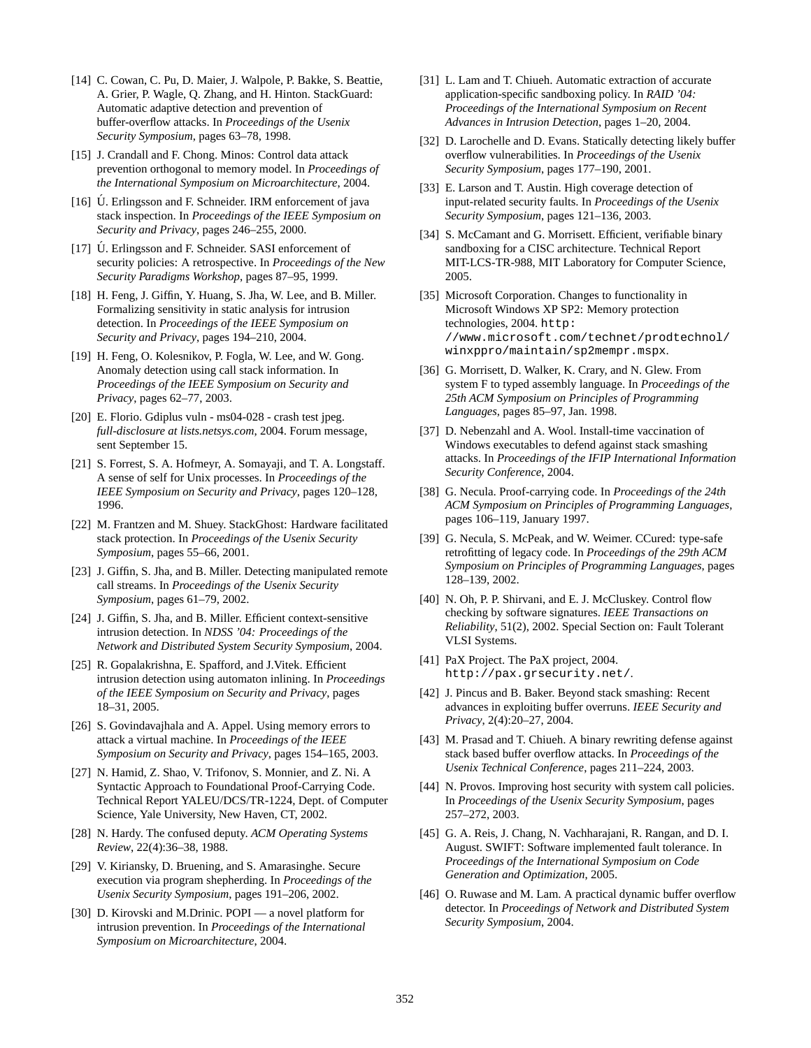- [14] C. Cowan, C. Pu, D. Maier, J. Walpole, P. Bakke, S. Beattie, A. Grier, P. Wagle, Q. Zhang, and H. Hinton. StackGuard: Automatic adaptive detection and prevention of buffer-overflow attacks. In *Proceedings of the Usenix Security Symposium*, pages 63–78, 1998.
- [15] J. Crandall and F. Chong. Minos: Control data attack prevention orthogonal to memory model. In *Proceedings of the International Symposium on Microarchitecture*, 2004.
- [16] Ú. Erlingsson and F. Schneider. IRM enforcement of java stack inspection. In *Proceedings of the IEEE Symposium on Security and Privacy*, pages 246–255, 2000.
- [17] Ú. Erlingsson and F. Schneider. SASI enforcement of security policies: A retrospective. In *Proceedings of the New Security Paradigms Workshop*, pages 87–95, 1999.
- [18] H. Feng, J. Giffin, Y. Huang, S. Jha, W. Lee, and B. Miller. Formalizing sensitivity in static analysis for intrusion detection. In *Proceedings of the IEEE Symposium on Security and Privacy*, pages 194–210, 2004.
- [19] H. Feng, O. Kolesnikov, P. Fogla, W. Lee, and W. Gong. Anomaly detection using call stack information. In *Proceedings of the IEEE Symposium on Security and Privacy*, pages 62–77, 2003.
- [20] E. Florio. Gdiplus vuln ms04-028 crash test jpeg. *full-disclosure at lists.netsys.com*, 2004. Forum message, sent September 15.
- [21] S. Forrest, S. A. Hofmeyr, A. Somayaji, and T. A. Longstaff. A sense of self for Unix processes. In *Proceedings of the IEEE Symposium on Security and Privacy*, pages 120–128, 1996.
- [22] M. Frantzen and M. Shuey. StackGhost: Hardware facilitated stack protection. In *Proceedings of the Usenix Security Symposium*, pages 55–66, 2001.
- [23] J. Giffin, S. Jha, and B. Miller. Detecting manipulated remote call streams. In *Proceedings of the Usenix Security Symposium*, pages 61–79, 2002.
- [24] J. Giffin, S. Jha, and B. Miller. Efficient context-sensitive intrusion detection. In *NDSS '04: Proceedings of the Network and Distributed System Security Symposium*, 2004.
- [25] R. Gopalakrishna, E. Spafford, and J.Vitek. Efficient intrusion detection using automaton inlining. In *Proceedings of the IEEE Symposium on Security and Privacy*, pages 18–31, 2005.
- [26] S. Govindavajhala and A. Appel. Using memory errors to attack a virtual machine. In *Proceedings of the IEEE Symposium on Security and Privacy*, pages 154–165, 2003.
- [27] N. Hamid, Z. Shao, V. Trifonov, S. Monnier, and Z. Ni. A Syntactic Approach to Foundational Proof-Carrying Code. Technical Report YALEU/DCS/TR-1224, Dept. of Computer Science, Yale University, New Haven, CT, 2002.
- [28] N. Hardy. The confused deputy. *ACM Operating Systems Review*, 22(4):36–38, 1988.
- [29] V. Kiriansky, D. Bruening, and S. Amarasinghe. Secure execution via program shepherding. In *Proceedings of the Usenix Security Symposium*, pages 191–206, 2002.
- [30] D. Kirovski and M.Drinic. POPI a novel platform for intrusion prevention. In *Proceedings of the International Symposium on Microarchitecture*, 2004.
- [31] L. Lam and T. Chiueh. Automatic extraction of accurate application-specific sandboxing policy. In *RAID '04: Proceedings of the International Symposium on Recent Advances in Intrusion Detection*, pages 1–20, 2004.
- [32] D. Larochelle and D. Evans. Statically detecting likely buffer overflow vulnerabilities. In *Proceedings of the Usenix Security Symposium*, pages 177–190, 2001.
- [33] E. Larson and T. Austin. High coverage detection of input-related security faults. In *Proceedings of the Usenix Security Symposium*, pages 121–136, 2003.
- [34] S. McCamant and G. Morrisett. Efficient, verifiable binary sandboxing for a CISC architecture. Technical Report MIT-LCS-TR-988, MIT Laboratory for Computer Science, 2005.
- [35] Microsoft Corporation. Changes to functionality in Microsoft Windows XP SP2: Memory protection technologies, 2004. http: //www.microsoft.com/technet/prodtechnol/ winxppro/maintain/sp2mempr.mspx.
- [36] G. Morrisett, D. Walker, K. Crary, and N. Glew. From system F to typed assembly language. In *Proceedings of the 25th ACM Symposium on Principles of Programming Languages*, pages 85–97, Jan. 1998.
- [37] D. Nebenzahl and A. Wool. Install-time vaccination of Windows executables to defend against stack smashing attacks. In *Proceedings of the IFIP International Information Security Conference*, 2004.
- [38] G. Necula. Proof-carrying code. In *Proceedings of the 24th ACM Symposium on Principles of Programming Languages*, pages 106–119, January 1997.
- [39] G. Necula, S. McPeak, and W. Weimer. CCured: type-safe retrofitting of legacy code. In *Proceedings of the 29th ACM Symposium on Principles of Programming Languages*, pages 128–139, 2002.
- [40] N. Oh, P. P. Shirvani, and E. J. McCluskey. Control flow checking by software signatures. *IEEE Transactions on Reliability*, 51(2), 2002. Special Section on: Fault Tolerant VLSI Systems.
- [41] PaX Project. The PaX project, 2004. http://pax.grsecurity.net/.
- [42] J. Pincus and B. Baker. Beyond stack smashing: Recent advances in exploiting buffer overruns. *IEEE Security and Privacy*, 2(4):20–27, 2004.
- [43] M. Prasad and T. Chiueh. A binary rewriting defense against stack based buffer overflow attacks. In *Proceedings of the Usenix Technical Conference*, pages 211–224, 2003.
- [44] N. Provos. Improving host security with system call policies. In *Proceedings of the Usenix Security Symposium*, pages 257–272, 2003.
- [45] G. A. Reis, J. Chang, N. Vachharajani, R. Rangan, and D. I. August. SWIFT: Software implemented fault tolerance. In *Proceedings of the International Symposium on Code Generation and Optimization*, 2005.
- [46] O. Ruwase and M. Lam. A practical dynamic buffer overflow detector. In *Proceedings of Network and Distributed System Security Symposium*, 2004.